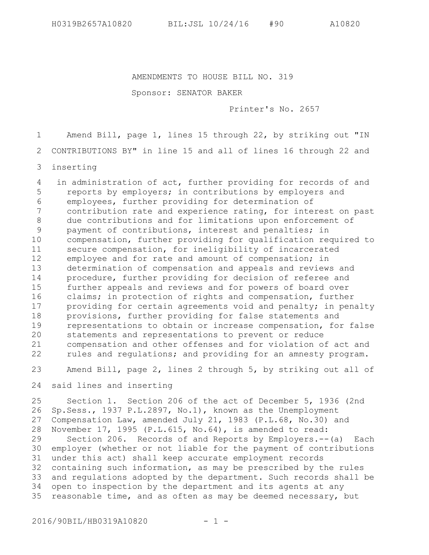AMENDMENTS TO HOUSE BILL NO. 319

Sponsor: SENATOR BAKER

Printer's No. 2657

Amend Bill, page 1, lines 15 through 22, by striking out "IN 1

CONTRIBUTIONS BY" in line 15 and all of lines 16 through 22 and 2

inserting 3

 in administration of act, further providing for records of and reports by employers; in contributions by employers and employees, further providing for determination of contribution rate and experience rating, for interest on past due contributions and for limitations upon enforcement of payment of contributions, interest and penalties; in compensation, further providing for qualification required to secure compensation, for ineligibility of incarcerated employee and for rate and amount of compensation; in determination of compensation and appeals and reviews and procedure, further providing for decision of referee and further appeals and reviews and for powers of board over claims; in protection of rights and compensation, further providing for certain agreements void and penalty; in penalty provisions, further providing for false statements and representations to obtain or increase compensation, for false statements and representations to prevent or reduce compensation and other offenses and for violation of act and rules and regulations; and providing for an amnesty program. 4 5 6 7 8 9 10 11 12 13 14 15 16 17 18 19 20 21 22

Amend Bill, page 2, lines 2 through 5, by striking out all of 23

said lines and inserting 24

Section 1. Section 206 of the act of December 5, 1936 (2nd Sp.Sess., 1937 P.L.2897, No.1), known as the Unemployment Compensation Law, amended July 21, 1983 (P.L.68, No.30) and November 17, 1995 (P.L.615, No.64), is amended to read: Section 206. Records of and Reports by Employers.--(a) Each employer (whether or not liable for the payment of contributions under this act) shall keep accurate employment records containing such information, as may be prescribed by the rules and regulations adopted by the department. Such records shall be open to inspection by the department and its agents at any reasonable time, and as often as may be deemed necessary, but 25 26 27 28 29 30 31 32 33 34 35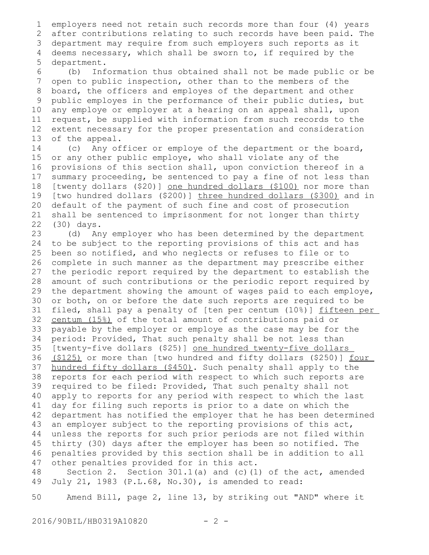employers need not retain such records more than four (4) years after contributions relating to such records have been paid. The department may require from such employers such reports as it 3 deems necessary, which shall be sworn to, if required by the department. 1 2 4 5

(b) Information thus obtained shall not be made public or be open to public inspection, other than to the members of the board, the officers and employes of the department and other public employes in the performance of their public duties, but any employe or employer at a hearing on an appeal shall, upon request, be supplied with information from such records to the extent necessary for the proper presentation and consideration of the appeal. 6 7 8 9 10 11 12 13

(c) Any officer or employe of the department or the board, or any other public employe, who shall violate any of the provisions of this section shall, upon conviction thereof in a summary proceeding, be sentenced to pay a fine of not less than [twenty dollars (\$20)] one hundred dollars (\$100) nor more than [two hundred dollars (\$200)] three hundred dollars (\$300) and in default of the payment of such fine and cost of prosecution shall be sentenced to imprisonment for not longer than thirty (30) days. 14 15 16 17 18 19 20 21 22

(d) Any employer who has been determined by the department to be subject to the reporting provisions of this act and has been so notified, and who neglects or refuses to file or to complete in such manner as the department may prescribe either the periodic report required by the department to establish the amount of such contributions or the periodic report required by the department showing the amount of wages paid to each employe, or both, on or before the date such reports are required to be filed, shall pay a penalty of [ten per centum (10%)] fifteen per centum (15%) of the total amount of contributions paid or payable by the employer or employe as the case may be for the period: Provided, That such penalty shall be not less than [twenty-five dollars (\$25)] one hundred twenty-five dollars (\$125) or more than [two hundred and fifty dollars (\$250)] four hundred fifty dollars (\$450). Such penalty shall apply to the reports for each period with respect to which such reports are required to be filed: Provided, That such penalty shall not apply to reports for any period with respect to which the last day for filing such reports is prior to a date on which the department has notified the employer that he has been determined an employer subject to the reporting provisions of this act, unless the reports for such prior periods are not filed within thirty (30) days after the employer has been so notified. The penalties provided by this section shall be in addition to all other penalties provided for in this act. 23 24 25 26 27 28 29 30 31 32 33 34 35 36 37 38 39 40 41 42 43 44 45 46 47

Section 2. Section  $301.1(a)$  and (c)(1) of the act, amended July 21, 1983 (P.L.68, No.30), is amended to read: 48 49

Amend Bill, page 2, line 13, by striking out "AND" where it 50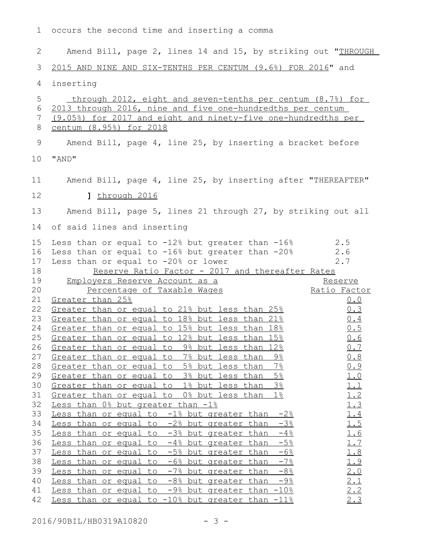occurs the second time and inserting a comma 1 Amend Bill, page 2, lines 14 and 15, by striking out "THROUGH 2

 2015 AND NINE AND SIX-TENTHS PER CENTUM (9.6%) FOR 2016" and 3

inserting 4

 through 2012, eight and seven-tenths per centum (8.7%) for 2013 through 2016, nine and five one-hundredths per centum 6 (9.05%) for 2017 and eight and ninety-five one-hundredths per centum (8.95%) for 2018 Amend Bill, page 4, line 25, by inserting a bracket before "AND" 10 Amend Bill, page 4, line 25, by inserting after "THEREAFTER" 11 **]** through 2016 Amend Bill, page 5, lines 21 through 27, by striking out all 14 of said lines and inserting 15 Less than or equal to -12% but greater than -16% 2.5 16 Less than or equal to -16% but greater than -20% 2.6 17 Less than or equal to  $-20\%$  or lower  $2.7$ Reserve Ratio Factor - 2017 and thereafter Rates Employers Reserve Account as a Percentage of Taxable Wages Reserve Ratio Factor  $21$  Greater than  $25\frac{6}{5}$   $0.0$ 22 Greater than or equal to 21% but less than 25% and  $0.3$ Greater than or equal to 18% but less than  $21\%$  0.4 24 Greater than or equal to 15% but less than 18% and the 15 25 Greater than or equal to 12% but less than 15% and the 1.6 26 Greater than or equal to 9% but less than 12% and  $0.7$ 27 Greater than or equal to 7% but less than 9% and  $0.8$ 28 Greater than or equal to 5% but less than 7% and 19 29 Greater than or equal to 3% but less than 5% and 1.0 Greater than or equal to  $1\frac{2}{5}$  but less than  $3\frac{2}{5}$   $1.1$ <br>Greater than or equal to  $0\frac{2}{5}$  but less than  $1\frac{2}{5}$   $1.2$ 31 Greater than or equal to 0% but less than 1% and 1.2  $32$  Less than  $0\frac{8}{3}$  but greater than  $-1\frac{8}{3}$  and  $1.3$ Less than or equal to  $-1$ % but greater than  $-2$ %  $1.4$ 34 Less than or equal to  $-2\frac{8}{3}$  but greater than  $-3\frac{8}{3}$  1.5 Less than or equal to  $-3\frac{8}{3}$  but greater than  $-4\frac{8}{3}$  1.6 36 Less than or equal to  $-4\frac{1}{6}$  but greater than  $-5\frac{1}{6}$  1.7 Less than or equal to  $-5$ % but greater than  $-6$ %  $1.8$ 38 Less than or equal to  $-6\frac{2}{5}$  but greater than  $-7\frac{2}{5}$  1.9 39 Less than or equal to -7% but greater than -8% 2.0 40 Less than or equal to  $-8\frac{8}{3}$  but greater than  $-9\frac{8}{3}$  2.1 41 Less than or equal to  $-9\frac{8}{3}$  but greater than  $-10\frac{8}{3}$  2.2 Less than or equal to  $-10\%$  but greater than  $-11\%$  2.3 5 7 8 9 12 13 18 19 20 23 30 33 35 37 42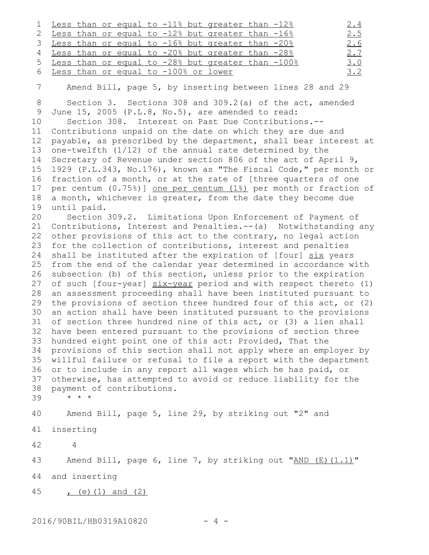|  |  |                                        |  | 1 Less than or equal to -11% but greater than -12%  |  | <u>2.4</u> |
|--|--|----------------------------------------|--|-----------------------------------------------------|--|------------|
|  |  |                                        |  | 2 Less than or equal to -12% but greater than -16%  |  | 2.5        |
|  |  |                                        |  | 3 Less than or equal to -16% but greater than -20%  |  | 2.6        |
|  |  |                                        |  | 4 Less than or equal to -20% but greater than -28%  |  | 2.7        |
|  |  |                                        |  | 5 Less than or equal to -28% but greater than -100% |  | 3.0        |
|  |  | 6 Less than or equal to -100% or lower |  |                                                     |  | 3.2        |

7

Amend Bill, page 5, by inserting between lines 28 and 29

Section 3. Sections 308 and 309.2(a) of the act, amended June 15, 2005 (P.L.8, No.5), are amended to read: Section 308. Interest on Past Due Contributions.-- Contributions unpaid on the date on which they are due and payable, as prescribed by the department, shall bear interest at one-twelfth (1/12) of the annual rate determined by the Secretary of Revenue under section 806 of the act of April 9, 1929 (P.L.343, No.176), known as "The Fiscal Code," per month or fraction of a month, or at the rate of [three quarters of one per centum (0.75%)] one per centum (1%) per month or fraction of a month, whichever is greater, from the date they become due until paid. 8 9 10 11 12 13 14 15 16 17 18 19

Section 309.2. Limitations Upon Enforcement of Payment of Contributions, Interest and Penalties.--(a) Notwithstanding any other provisions of this act to the contrary, no legal action for the collection of contributions, interest and penalties shall be instituted after the expiration of [four] six years 25 from the end of the calendar year determined in accordance with subsection (b) of this section, unless prior to the expiration 27 of such [four-year] six-year period and with respect thereto (1) an assessment proceeding shall have been instituted pursuant to the provisions of section three hundred four of this act, or (2) an action shall have been instituted pursuant to the provisions 31 of section three hundred nine of this act, or (3) a lien shall have been entered pursuant to the provisions of section three hundred eight point one of this act: Provided, That the 34 provisions of this section shall not apply where an employer by willful failure or refusal to file a report with the department or to include in any report all wages which he has paid, or otherwise, has attempted to avoid or reduce liability for the payment of contributions. \* \* \* 20 21 22 23 24 26 28 29 30 32 33 35 36 37 38

39

Amend Bill, page 5, line 29, by striking out "2" and 40

inserting 41

4

42

Amend Bill, page 6, line 7, by striking out " $AND (E) (1.1)$ " and inserting 43 44

 $(e)$  (1) and (2) 45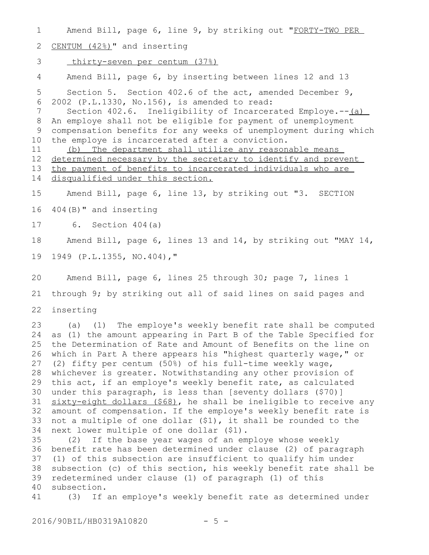Amend Bill, page 6, line 9, by striking out "FORTY-TWO PER CENTUM (42%)" and inserting thirty-seven per centum (37%) Amend Bill, page 6, by inserting between lines 12 and 13 Section 5. Section 402.6 of the act, amended December 9, 2002 (P.L.1330, No.156), is amended to read: Section 402.6. Ineligibility of Incarcerated Employe.--(a) An employe shall not be eligible for payment of unemployment compensation benefits for any weeks of unemployment during which the employe is incarcerated after a conviction. (b) The department shall utilize any reasonable means determined necessary by the secretary to identify and prevent the payment of benefits to incarcerated individuals who are disqualified under this section. Amend Bill, page 6, line 13, by striking out "3. SECTION 404(B)" and inserting 6. Section 404(a) Amend Bill, page 6, lines 13 and 14, by striking out "MAY 14, 1949 (P.L.1355, NO.404)," Amend Bill, page 6, lines 25 through 30; page 7, lines 1 through 9; by striking out all of said lines on said pages and inserting (a) (1) The employe's weekly benefit rate shall be computed as (1) the amount appearing in Part B of the Table Specified for the Determination of Rate and Amount of Benefits on the line on which in Part A there appears his "highest quarterly wage," or (2) fifty per centum (50%) of his full-time weekly wage, whichever is greater. Notwithstanding any other provision of this act, if an employe's weekly benefit rate, as calculated under this paragraph, is less than [seventy dollars (\$70)] sixty-eight dollars (\$68), he shall be ineligible to receive any amount of compensation. If the employe's weekly benefit rate is not a multiple of one dollar (\$1), it shall be rounded to the next lower multiple of one dollar (\$1). (2) If the base year wages of an employe whose weekly benefit rate has been determined under clause (2) of paragraph 36 (1) of this subsection are insufficient to qualify him under subsection (c) of this section, his weekly benefit rate shall be redetermined under clause (1) of paragraph (1) of this subsection. (3) If an employe's weekly benefit rate as determined under 1 2 3 4 5 6 7 8 9 10 11 12 13 14 15 16 17 18 19 20 21 22 23 24 25 26 27 28 29 30 31 32 33 34 35 37 38 39 40 41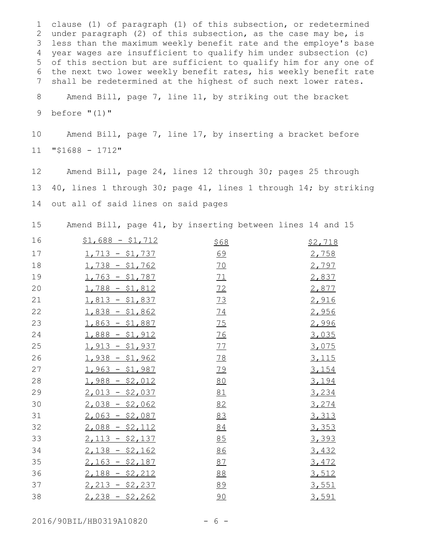clause (1) of paragraph (1) of this subsection, or redetermined 1 2 under paragraph (2) of this subsection, as the case may be, is less than the maximum weekly benefit rate and the employe's base 3 year wages are insufficient to qualify him under subsection (c) 4 of this section but are sufficient to qualify him for any one of 5 the next two lower weekly benefit rates, his weekly benefit rate shall be redetermined at the highest of such next lower rates. Amend Bill, page 7, line 11, by striking out the bracket 6 7 8

before "(1)" 9

Amend Bill, page 7, line 17, by inserting a bracket before "\$1688 - 1712" 10 11

Amend Bill, page 24, lines 12 through 30; pages 25 through 40, lines 1 through 30; page 41, lines 1 through 14; by striking out all of said lines on said pages 12 13 14

Amend Bill, page 41, by inserting between lines 14 and 15 15

| 16 | $$1,688 - $1,712$ | <u>\$68</u> | \$2,718      |
|----|-------------------|-------------|--------------|
| 17 | $1,713 - $1,737$  | 69          | 2,758        |
| 18 | $1,738 - $1,762$  | <u>70</u>   | 2,797        |
| 19 | $1,763 - $1,787$  | 71          | 2,837        |
| 20 | $1,788 - $1,812$  | 72          | 2,877        |
| 21 | $1,813 - $1,837$  | 73          | 2,916        |
| 22 | $1,838 - $1,862$  | 74          | 2,956        |
| 23 | $1,863 - $1,887$  | 75          | 2,996        |
| 24 | $1,888 - $1,912$  | 76          | 3,035        |
| 25 | $1,913 - $1,937$  | 77          | 3,075        |
| 26 | $1,938 - $1,962$  | 78          | <u>3,115</u> |
| 27 | $1,963 - $1,987$  | 79          | 3,154        |
| 28 | $1,988 - $2,012$  | 80          | 3,194        |
| 29 | $2,013 - $2,037$  | 81          | 3,234        |
| 30 | $2,038 - $2,062$  | 82          | 3,274        |
| 31 | $2,063 - $2,087$  | 83          | 3,313        |
| 32 | $2,088 - $2,112$  | 84          | 3,353        |
| 33 | $2,113 - $2,137$  | 85          | 3,393        |
| 34 | $2,138 - $2,162$  | 86          | 3,432        |
| 35 | $2,163 - $2,187$  | 87          | 3,472        |
| 36 | $2,188 - $2,212$  | 88          | 3,512        |
| 37 | $2,213 - $2,237$  | 89          | 3,551        |
| 38 | $2,238 - $2,262$  | 90          | 3,591        |

2016/90BIL/HB0319A10820 - 6 -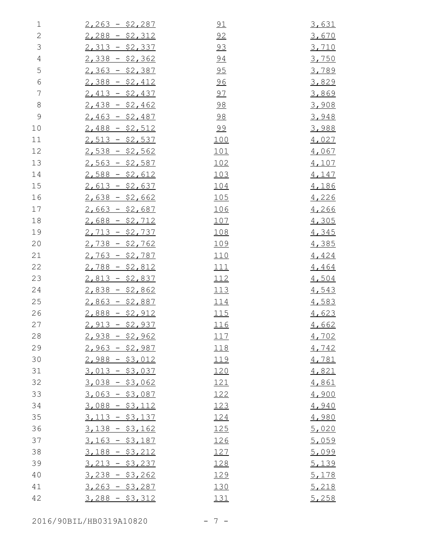| 1              | $2,263 - $2,287$ | 91          | 3,631        |
|----------------|------------------|-------------|--------------|
| $\mathbf{2}$   | $2,288 - $2,312$ | 92          | 3,670        |
| $\mathcal{S}$  | $2,313 - $2,337$ | 93          | 3,710        |
| $\overline{4}$ | $2,338 - $2,362$ | <u>94</u>   | 3,750        |
| 5              | $2,363 - $2,387$ | 95          | 3,789        |
| $\epsilon$     | $2,388 - $2,412$ | 96          | 3,829        |
| $\overline{7}$ | $2,413 - $2,437$ | <u>97</u>   | 3,869        |
| $\,8\,$        | $2,438 - $2,462$ | <u>98</u>   | 3,908        |
| $\mathsf 9$    | $2,463 - $2,487$ | <u>98</u>   | 3,948        |
| 10             | $2,488 - $2,512$ | <u>99</u>   | 3,988        |
| 11             | $2,513 - $2,537$ | 100         | 4,027        |
| 12             | $2,538 - $2,562$ | 101         | 4,067        |
| 13             | $2,563 - $2,587$ | 102         | 4,107        |
| 14             | $2,588 - $2,612$ | <u> 103</u> | 4,147        |
| 15             | $2,613 - $2,637$ | 104         | 4,186        |
| 16             | $2,638 - $2,662$ | <u> 105</u> | 4,226        |
| 17             | $2,663 - $2,687$ | <u> 106</u> | 4,266        |
| 18             | $2,688 - $2,712$ | 107         | 4,305        |
| 19             | $2,713 - $2,737$ | 108         | 4,345        |
| 20             | $2,738 - $2,762$ | <u> 109</u> | 4,385        |
| 21             | $2,763 - $2,787$ | <u> 110</u> | 4,424        |
| 22             | $2,788 - $2,812$ | <u> 111</u> | 4,464        |
| 23             | $2,813 - $2,837$ | <u> 112</u> | 4,504        |
| 24             | $2,838 - $2,862$ | <u> 113</u> | 4,543        |
| 25             | $2,863 - $2,887$ | <u> 114</u> | 4,583        |
| 26             | $2,888 - $2,912$ | 115         | 4,623        |
| 27             | $2,913 - $2,937$ | <u> 116</u> | 4,662        |
| 28             | $2,938 - $2,962$ | <u> 117</u> | 4,702        |
| 29             | $2,963 - $2,987$ | 118         | 4,742        |
| 30             | $2,988 - $3,012$ | 119         | 4,781        |
| 31             | $3,013 - $3,037$ | <u>120</u>  | 4,821        |
| 32             | $3,038 - $3,062$ | <u> 121</u> | 4,861        |
| 33             | $3,063 - $3,087$ | 122         | 4,900        |
| 34             | $3,088 - $3,112$ | 123         | 4,940        |
| 35             | $3,113 - $3,137$ | 124         | 4,980        |
| 36             | $3,138 - $3,162$ | 125         | 5,020        |
| 37             | $3,163 - $3,187$ | <u> 126</u> | 5,059        |
| 38             | $3,188 - $3,212$ | 127         | 5,099        |
| 39             | $3,213 - $3,237$ | 128         | <u>5,139</u> |
| 40             | $3,238 - $3,262$ | <u> 129</u> | 5,178        |
| 41             | $3,263 - $3,287$ | 130         | 5,218        |
| 42             | $3,288 - $3,312$ | 131         | 5,258        |

2016/90BIL/HB0319A10820 - 7 -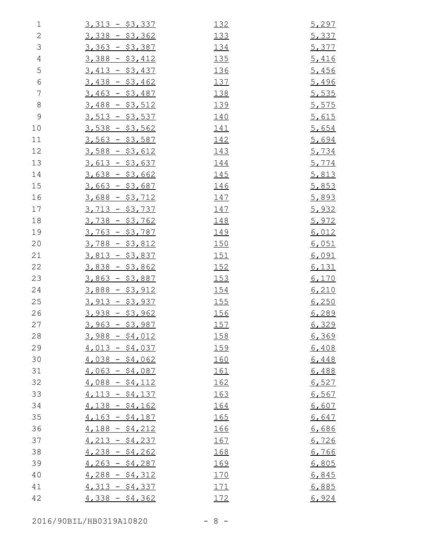| $\mathbf 1$    | $3,313 - $3,337$       | 132         | 5,297 |
|----------------|------------------------|-------------|-------|
| $\sqrt{2}$     | $3,338 - $3,362$       | 133         | 5,337 |
| $\mathcal{S}$  | $3,363 - $3,387$       | 134         | 5,377 |
| $\overline{4}$ | $3,388 - $3,412$       | <u> 135</u> | 5,416 |
| 5              | $3,413 - $3,437$       | 136         | 5,456 |
| $\epsilon$     | $3,438 - $3,462$       | 137         | 5,496 |
| $\overline{7}$ | $3,463 - $3,487$       | 138         | 5,535 |
| $\,8\,$        | $3,488 - $3,512$       | 139         | 5,575 |
| $\mathsf 9$    | $3,513 - $3,537$       | 140         | 5,615 |
| 10             | $3,538 - $3,562$       | <u> 141</u> | 5,654 |
| 11             | $3,563 - $3,587$       | 142         | 5,694 |
| 12             | $3,588 - $3,612$       | 143         | 5,734 |
| 13             | $3,613 - $3,637$       | 144         | 5,774 |
| 14             | $3,638 - $3,662$       | <u> 145</u> | 5,813 |
| 15             | $3,663 - $3,687$       | 146         | 5,853 |
| 16             | $3,688 - $3,712$       | <u> 147</u> | 5,893 |
| 17             | $3,713 - $3,737$       | <u> 147</u> | 5,932 |
| 18             | $3,738 - $3,762$       | 148         | 5,972 |
| 19             | <u>3,763 - \$3,787</u> | <u> 149</u> | 6,012 |
| 20             | $3,788 - $3,812$       | 150         | 6,051 |
| 21             | $3,813 - $3,837$       | 151         | 6,091 |
| 22             | $3,838 - $3,862$       | 152         | 6,131 |
| 23             | $3,863 - $3,887$       | 153         | 6,170 |
| 24             | $3,888 - $3,912$       | 154         | 6,210 |
| 25             | $3,913 - $3,937$       | <u>155</u>  | 6,250 |
| 26             | $3,938 - $3,962$       | 156         | 6,289 |
| 27             | $3,963 - $3,987$       | 157         | 6,329 |
| 28             | $3,988 - $4,012$       | <u> 158</u> | 6,369 |
| 29             | $4,013 - $4,037$       | 159         | 6,408 |
| 30             | $4,038 - $4,062$       | 160         | 6,448 |
| 31             | $4,063 - $4,087$       | 161         | 6,488 |
| 32             | $4,088 - $4,112$       | 162         | 6,527 |
| 33             | $4,113 - $4,137$       | 163         | 6,567 |
| 34             | $4,138 - $4,162$       | 164         | 6,607 |
| 35             | $4,163 - $4,187$       | 165         | 6,647 |
| 36             | $4,188 - $4,212$       | 166         | 6,686 |
| 37             | $4,213 - $4,237$       | <u> 167</u> | 6,726 |
| 38             | $4,238 - $4,262$       | 168         | 6,766 |
| 39             | $4,263 - $4,287$       | 169         | 6,805 |
| 40             | $4,288 - $4,312$       | 170         | 6,845 |
| 41             | $4,313 - $4,337$       | 171         | 6,885 |
| 42             | $4,338 - $4,362$       | 172         | 6,924 |

2016/90BIL/HB0319A10820 - 8 -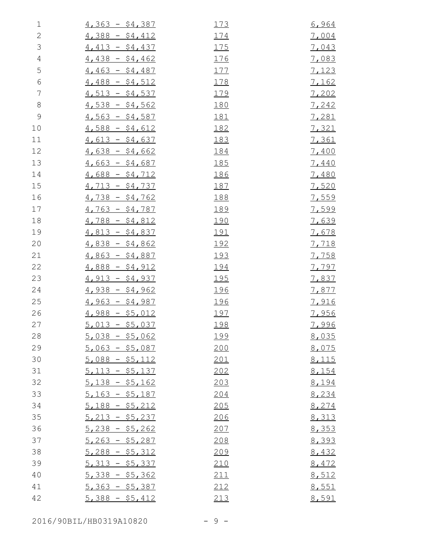| $\mathbf 1$    | $4,363 - $4,387$ | 173         | 6,964        |
|----------------|------------------|-------------|--------------|
| $\sqrt{2}$     | $4,388 - $4,412$ | 174         | 7,004        |
| $\mathfrak{Z}$ | $4,413 - $4,437$ | 175         | 7,043        |
| $\overline{4}$ | $4,438 - $4,462$ | 176         | 7,083        |
| 5              | $4,463 - $4,487$ | 177         | 7,123        |
| $\epsilon$     | $4,488 - $4,512$ | 178         | <u>7,162</u> |
| $\overline{7}$ | $4,513 - $4,537$ | 179         | 7,202        |
| 8              | $4,538 - $4,562$ | 180         | 7,242        |
| $\mathcal{G}$  | $4,563 - $4,587$ | <u> 181</u> | 7,281        |
| 10             | $4,588 - $4,612$ | 182         | 7,321        |
| 11             | $4,613 - $4,637$ | 183         | <u>7,361</u> |
| 12             | $4,638 - $4,662$ | 184         | 7,400        |
| 13             | $4,663 - $4,687$ | <u> 185</u> | 7,440        |
| 14             | $4,688 - $4,712$ | 186         | 7,480        |
| 15             | $4,713 - $4,737$ | 187         | 7,520        |
| 16             | $4,738 - $4,762$ | 188         | 7,559        |
| 17             | $4,763 - $4,787$ | 189         | 7,599        |
| 18             | $4,788 - $4,812$ | <u> 190</u> | 7,639        |
| 19             | $4,813 - $4,837$ | <u> 191</u> | 7,678        |
| 20             | $4,838 - $4,862$ | <u> 192</u> | 7,718        |
| 21             | $4,863 - $4,887$ | <u> 193</u> | 7,758        |
| 22             | $4,888 - $4,912$ | 194         | 7,797        |
| 23             | $4,913 - $4,937$ | 195         | 7,837        |
| 24             | $4,938 - $4,962$ | 196         | 7,877        |
| 25             | $4,963 - $4,987$ | <u> 196</u> | 7,916        |
| 26             | $4,988 - $5,012$ | 197         | 7,956        |
| 27             | $5,013 - $5,037$ | 198         | <u>7,996</u> |
| 28             | $5,038 - $5,062$ | <u> 199</u> | 8,035        |
| 29             | $5,063 - $5,087$ | 200         | 8,075        |
| 30             | $5,088 - $5,112$ | 201         | 8,115        |
| 31             | $5,113 - $5,137$ | 202         | 8,154        |
| 32             | $5,138 - $5,162$ | 203         | 8,194        |
| 33             | $5,163 - $5,187$ | 204         | 8,234        |
| 34             | $5,188 - $5,212$ | 205         | 8,274        |
| 35             | $5,213 - $5,237$ | 206         | 8,313        |
| 36             | $5,238 - $5,262$ | 207         | 8,353        |
| 37             | $5,263 - $5,287$ | 208         | 8,393        |
| 38             | $5,288 - $5,312$ | 209         | 8,432        |
| 39             | $5,313 - $5,337$ | 210         | 8,472        |
| 40             | $5,338 - $5,362$ | 211         | 8,512        |
| 41             | $5,363 - $5,387$ | 212         | 8,551        |
| 42             | $5,388 - $5,412$ | 213         | 8,591        |

2016/90BIL/HB0319A10820 - 9 -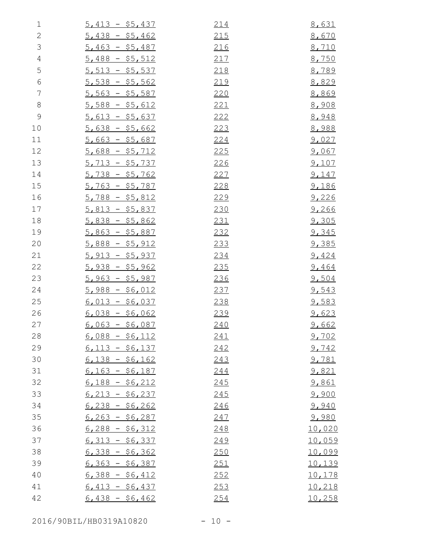| $\mathbf 1$    | $5,413 - $5,437$ | 214         | 8,631         |
|----------------|------------------|-------------|---------------|
| $\sqrt{2}$     | $5,438 - $5,462$ | 215         | 8,670         |
| $\mathfrak{Z}$ | $5,463 - $5,487$ | 216         | 8,710         |
| $\overline{4}$ | $5,488 - $5,512$ | 217         | 8,750         |
| 5              | $5,513 - $5,537$ | 218         | 8,789         |
| $\sqrt{6}$     | $5,538 - $5,562$ | 219         | 8,829         |
| $\overline{7}$ | $5,563 - $5,587$ | 220         | 8,869         |
| $\,8\,$        | $5,588 - $5,612$ | 221         | 8,908         |
| $\mathcal{G}$  | $5,613 - $5,637$ | 222         | 8,948         |
| 10             | $5,638 - $5,662$ | 223         | 8,988         |
| 11             | $5,663 - $5,687$ | <u>224</u>  | <u>9,027</u>  |
| 12             | $5,688 - $5,712$ | <u> 225</u> | 9,067         |
| 13             | $5,713 - $5,737$ | 226         | 9,107         |
| 14             | $5,738 - $5,762$ | 227         | 9,147         |
| 15             | $5,763 - $5,787$ | 228         | 9,186         |
| 16             | $5,788 - $5,812$ | 229         | 9,226         |
| 17             | $5,813 - $5,837$ | 230         | 9,266         |
| 18             | $5,838 - $5,862$ | 231         | 9,305         |
| 19             | $5,863 - $5,887$ | 232         | 9,345         |
| 20             | $5,888 - $5,912$ | 233         | <u>9,385</u>  |
| 21             | $5,913 - $5,937$ | 234         | 9,424         |
| 22             | $5,938 - $5,962$ | 235         | 9,464         |
| 23             | $5,963 - $5,987$ | 236         | 9,504         |
| 24             | $5,988 - $6,012$ | 237         | 9,543         |
| 25             | $6,013 - $6,037$ | 238         | 9,583         |
| 26             | $6,038 - $6,062$ | 239         | 9,623         |
| 27             | $6,063 - $6,087$ | 240         | 9,662         |
| 28             | $6,088 - $6,112$ | 241         | 9,702         |
| 29             | $6,113 - $6,137$ | 242         | 9,742         |
| 30             | $6,138 - $6,162$ | 243         | 9,781         |
| 31             | $6,163 - $6,187$ | 244         | 9,821         |
| 32             | $6,188 - $6,212$ | 245         | 9,861         |
| 33             | $6,213 - 56,237$ | 245         | 9,900         |
| 34             | $6,238 - $6,262$ | 246         | 9,940         |
| 35             | $6,263 - $6,287$ | 247         | 9,980         |
| 36             | $6,288 - $6,312$ | 248         | 10,020        |
| 37             | $6,313 - 56,337$ | 249         | 10,059        |
| 38             | $6,338 - 56,362$ | 250         | 10,099        |
| 39             | $6,363 - $6,387$ | 251         | 10,139        |
| 40             | $6,388 - $6,412$ | 252         | <u>10,178</u> |
| 41             | $6,413 - 56,437$ | 253         | 10,218        |
| 42             | $6,438 - $6,462$ | 254         | 10,258        |

2016/90BIL/HB0319A10820 - 10 -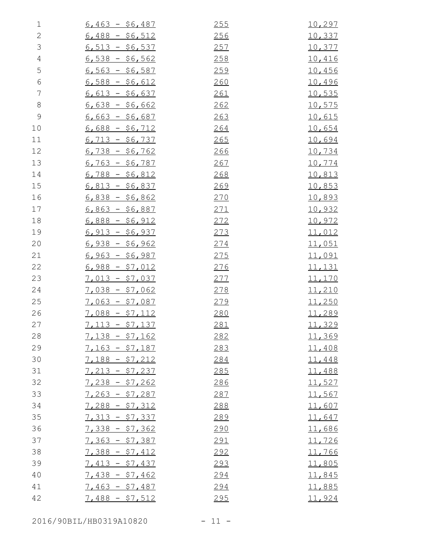| $\mathbf 1$    | $6,463 - $6,487$ | 255 | 10,297         |
|----------------|------------------|-----|----------------|
| $\sqrt{2}$     | $6,488 - $6,512$ | 256 | 10,337         |
| $\mathfrak{Z}$ | $6,513 - $6,537$ | 257 | 10,377         |
| $\sqrt{4}$     | $6,538 - $6,562$ | 258 | <u>10,416</u>  |
| 5              | $6,563 - 56,587$ | 259 | 10,456         |
| $\epsilon$     | $6,588 - $6,612$ | 260 | 10,496         |
| $\overline{7}$ | $6,613 - 56,637$ | 261 | <u>10,535</u>  |
| $\,8\,$        | $6,638 - $6,662$ | 262 | 10,575         |
| $\mathcal{G}$  | $6,663 - $6,687$ | 263 | 10,615         |
| 10             | $6,688 - $6,712$ | 264 | 10,654         |
| 11             | $6,713 - $6,737$ | 265 | <u>10,694</u>  |
| 12             | $6,738 - $6,762$ | 266 | 10,734         |
| 13             | $6,763 - $6,787$ | 267 | 10,774         |
| 14             | $6,788 - $6,812$ | 268 | 10,813         |
| 15             | $6,813 - $6,837$ | 269 | <u>10,853</u>  |
| 16             | $6,838 - $6,862$ | 270 | <u>10,893</u>  |
| 17             | $6,863 - $6,887$ | 271 | 10,932         |
| 18             | $6,888 - $6,912$ | 272 | 10,972         |
| 19             | $6,913 - $6,937$ | 273 | <u>11,012</u>  |
| 20             | $6,938 - $6,962$ | 274 | 11,051         |
| 21             | $6,963 - $6,987$ | 275 | 11,091         |
| 22             | $6,988 - $7,012$ | 276 | <u> 11,131</u> |
| 23             | $7,013 - $7,037$ | 277 | 11,170         |
| 24             | $7,038 - $7,062$ | 278 | 11,210         |
| 25             | $7,063 - $7,087$ | 279 | <u>11,250</u>  |
| 26             | $7,088 - $7,112$ | 280 | 11,289         |
| 27             | $7,113 - $7,137$ | 281 | 11,329         |
| 28             | $7,138 - $7,162$ | 282 | 11,369         |
| 29             | $7,163 - $7,187$ | 283 | 11,408         |
| 30             | $7,188 - $7,212$ | 284 | 11,448         |
| 31             | $7,213 - $7,237$ | 285 | 11,488         |
| 32             | $7,238 - $7,262$ | 286 | 11,527         |
| 33             | $7,263 - $7,287$ | 287 | 11,567         |
| 34             | $7,288 - $7,312$ | 288 | 11,607         |
| 35             | $7,313 - $7,337$ | 289 | 11,647         |
| 36             | $7,338 - $7,362$ | 290 | 11,686         |
| 37             | $7,363 - $7,387$ | 291 | 11,726         |
| 38             | $7,388 - $7,412$ | 292 | 11,766         |
| 39             | $7,413 - $7,437$ | 293 | 11,805         |
| 40             | $7,438 - $7,462$ | 294 | <u>11,845</u>  |
| 41             | $7,463 - $7,487$ | 294 | 11,885         |
| 42             | $7,488 - $7,512$ | 295 | 11,924         |

2016/90BIL/HB0319A10820 - 11 -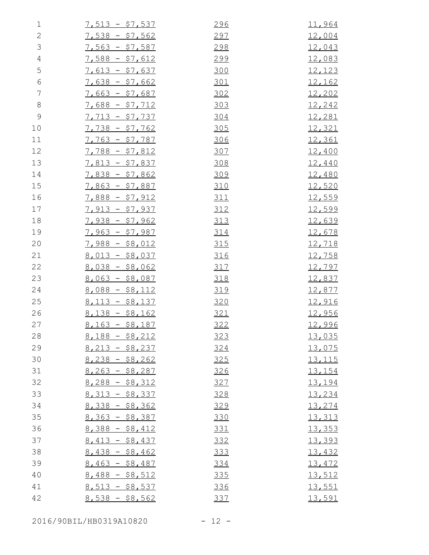| $\mathbf 1$   | $7,513 - $7,537$ | 296 | 11,964        |
|---------------|------------------|-----|---------------|
| $\sqrt{2}$    | $7,538 - $7,562$ | 297 | <u>12,004</u> |
| $\mathcal{S}$ | $7,563 - $7,587$ | 298 | 12,043        |
| $\sqrt{4}$    | $7,588 - $7,612$ | 299 | 12,083        |
| 5             | $7,613 - $7,637$ | 300 | 12,123        |
| $\epsilon$    | $7,638 - $7,662$ | 301 | <u>12,162</u> |
| 7             | $7,663 - $7,687$ | 302 | 12,202        |
| $\,8\,$       | $7,688 - $7,712$ | 303 | 12,242        |
| $\mathsf 9$   | $7,713 - $7,737$ | 304 | 12,281        |
| 10            | $7,738 - $7,762$ | 305 | <u>12,321</u> |
| 11            | $7,763 - $7,787$ | 306 | <u>12,361</u> |
| 12            | $7,788 - $7,812$ | 307 | 12,400        |
| 13            | $7,813 - $7,837$ | 308 | 12,440        |
| 14            | $7,838 - $7,862$ | 309 | <u>12,480</u> |
| 15            | $7,863 - $7,887$ | 310 | 12,520        |
| 16            | $7,888 - $7,912$ | 311 | 12,559        |
| 17            | $7,913 - $7,937$ | 312 | 12,599        |
| 18            | $7,938 - $7,962$ | 313 | <u>12,639</u> |
| 19            | $7,963 - $7,987$ | 314 | 12,678        |
| 20            | $7,988 - $8,012$ | 315 | <u>12,718</u> |
| 21            | $8,013 - $8,037$ | 316 | 12,758        |
| 22            | $8,038 - $8,062$ | 317 | 12,797        |
| 23            | $8,063 - $8,087$ | 318 | 12,837        |
| 24            | $8,088 - $8,112$ | 319 | 12,877        |
| 25            | $8,113 - $8,137$ | 320 | 12,916        |
| 26            | $8,138 - $8,162$ | 321 | <u>12,956</u> |
| 27            | $8,163 - $8,187$ | 322 | 12,996        |
| 28            | $8,188 - $8,212$ | 323 | 13,035        |
| 29            | $8,213 - $8,237$ | 324 | 13,075        |
| 30            | $8,238 - $8,262$ | 325 | <u>13,115</u> |
| 31            | $8,263 - $8,287$ | 326 | 13,154        |
| 32            | $8,288 - $8,312$ | 327 | 13,194        |
| 33            | $8,313 - $8,337$ | 328 | 13,234        |
| 34            | $8,338 - $8,362$ | 329 | 13,274        |
| 35            | $8,363 - $8,387$ | 330 | 13,313        |
| 36            | $8,388 - $8,412$ | 331 | 13,353        |
| 37            | $8,413 - $8,437$ | 332 | 13,393        |
| 38            | $8,438 - $8,462$ | 333 | 13,432        |
| 39            | $8,463 - $8,487$ | 334 | 13,472        |
| 40            | $8,488 - $8,512$ | 335 | 13,512        |
| 41            | $8,513 - $8,537$ | 336 | 13,551        |
| 42            | $8,538 - $8,562$ | 337 | 13,591        |

2016/90BIL/HB0319A10820 - 12 -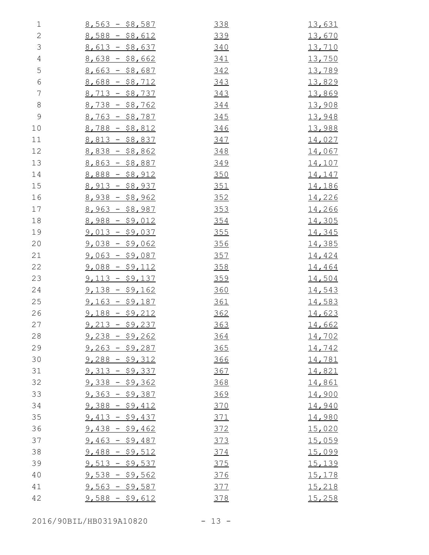| $\mathbf 1$    | $8,563 - $8,587$ | 338        | <u>13,631</u> |
|----------------|------------------|------------|---------------|
| $\mathbf{2}$   | $8,588 - $8,612$ | 339        | 13,670        |
| $\mathfrak{Z}$ | $8,613 - $8,637$ | 340        | <u>13,710</u> |
| $\sqrt{4}$     | $8,638 - $8,662$ | 341        | 13,750        |
| 5              | $8,663 - $8,687$ | 342        | 13,789        |
| $\sqrt{6}$     | $8,688 - $8,712$ | 343        | 13,829        |
| $\overline{7}$ | $8,713 - $8,737$ | 343        | 13,869        |
| $8\,$          | $8,738 - $8,762$ | 344        | 13,908        |
| $\mathcal{G}$  | $8,763 - $8,787$ | 345        | 13,948        |
| 10             | $8,788 - $8,812$ | 346        | 13,988        |
| 11             | $8,813 - $8,837$ | 347        | 14,027        |
| 12             | $8,838 - $8,862$ | 348        | 14,067        |
| 13             | $8,863 - $8,887$ | 349        | <u>14,107</u> |
| 14             | $8,888 - $8,912$ | 350        | 14,147        |
| 15             | $8,913 - $8,937$ | <u>351</u> | <u>14,186</u> |
| 16             | $8,938 - $8,962$ | 352        | 14,226        |
| 17             | $8,963 - $8,987$ | 353        | 14,266        |
| 18             | $8,988 - $9,012$ | 354        | 14,305        |
| 19             | $9,013 - $9,037$ | 355        | 14,345        |
| 20             | $9,038 - $9,062$ | 356        | <u>14,385</u> |
| 21             | $9,063 - $9,087$ | 357        | 14,424        |
| 22             | $9,088 - $9,112$ | 358        | 14,464        |
| 23             | $9,113 - $9,137$ | 359        | 14,504        |
| 24             | $9,138 - $9,162$ | 360        | 14,543        |
| 25             | $9,163 - $9,187$ | <u>361</u> | 14,583        |
| 26             | $9,188 - $9,212$ | 362        | 14,623        |
| 27             | $9,213 - $9,237$ | 363        | <u>14,662</u> |
| 28             | $9,238 - $9,262$ | <u>364</u> | 14,702        |
| 29             | $9,263 - $9,287$ | 365        | 14,742        |
| 30             | $9,288 - $9,312$ | 366        | <u>14,781</u> |
| 31             | $9,313 - $9,337$ | 367        | 14,821        |
| 32             | $9,338 - $9,362$ | 368        | <u>14,861</u> |
| 33             | $9,363 - $9,387$ | 369        | 14,900        |
| 34             | $9,388 - $9,412$ | 370        | 14,940        |
| 35             | $9,413 - $9,437$ | 371        | 14,980        |
| 36             | $9,438 - $9,462$ | 372        | 15,020        |
| 37             | $9,463 - $9,487$ | <u>373</u> | 15,059        |
| 38             | $9,488 - $9,512$ | 374        | 15,099        |
| 39             | $9,513 - $9,537$ | 375        | 15,139        |
| 40             | $9,538 - $9,562$ | 376        | 15,178        |
| 41             | $9,563 - $9,587$ | 377        | 15,218        |
| 42             | $9,588 - $9,612$ | 378        | 15,258        |
|                |                  |            |               |

2016/90BIL/HB0319A10820 - 13 -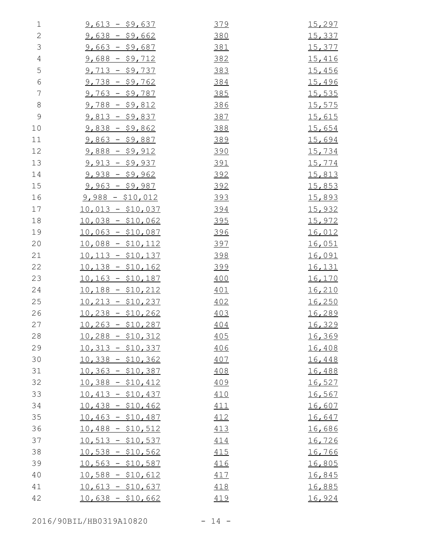| $\mathbf 1$    | $9,613 - $9,637$   | 379        | <u>15,297</u> |
|----------------|--------------------|------------|---------------|
| $\mathbf{2}$   | $9,638 - $9,662$   | 380        | 15,337        |
| $\mathfrak{Z}$ | $9,663 - $9,687$   | 381        | <u>15,377</u> |
| $\sqrt{4}$     | $9,688 - $9,712$   | 382        | 15,416        |
| 5              | $9,713 - $9,737$   | 383        | 15,456        |
| $\sqrt{6}$     | $9,738 - $9,762$   | 384        | 15,496        |
| $\overline{7}$ | $9,763 - $9,787$   | 385        | <u>15,535</u> |
| $8\,$          | $9,788 - $9,812$   | 386        | 15,575        |
| $\mathcal{G}$  | $9,813 - $9,837$   | 387        | 15,615        |
| 10             | $9,838 - $9,862$   | 388        | 15,654        |
| 11             | $9,863 - $9,887$   | 389        | <u>15,694</u> |
| 12             | $9,888 - $9,912$   | <u>390</u> | 15,734        |
| 13             | $9,913 - $9,937$   | 391        | 15,774        |
| 14             | $9,938 - $9,962$   | 392        | <u>15,813</u> |
| 15             | $9,963 - $9,987$   | 392        | <u>15,853</u> |
| 16             | $9,988 - $10,012$  | <u>393</u> | 15,893        |
| 17             | $10,013 - $10,037$ | <u>394</u> | <u>15,932</u> |
| 18             | $10,038 - $10,062$ | 395        | <u>15,972</u> |
| 19             | $10,063 - $10,087$ | <u>396</u> | <u>16,012</u> |
| 20             | $10,088 - $10,112$ | 397        | 16,051        |
| 21             | $10,113 - $10,137$ | 398        | <u>16,091</u> |
| 22             | $10,138 - $10,162$ | <u>399</u> | <u>16,131</u> |
| 23             | $10,163 - $10,187$ | 400        | <u>16,170</u> |
| 24             | $10,188 - $10,212$ | 401        | 16,210        |
| 25             | $10,213 - $10,237$ | 402        | <u>16,250</u> |
| 26             | $10,238 - $10,262$ | 403        | 16,289        |
| 27             | $10,263 - $10,287$ | 404        | 16,329        |
| 28             | $10,288 - $10,312$ | 405        | 16,369        |
| 29             | $10,313 - $10,337$ | 406        | 16,408        |
| 30             | $10,338 - $10,362$ | 407        | 16,448        |
| 31             | $10,363 - $10,387$ | 408        | 16,488        |
| 32             | $10,388 - $10,412$ | 409        | 16,527        |
| 33             | $10,413 - $10,437$ | 410        | 16,567        |
| 34             | $10,438 - $10,462$ | 411        | 16,607        |
| 35             | $10,463 - $10,487$ | 412        | 16,647        |
| 36             | $10,488 - $10,512$ | 413        | 16,686        |
| 37             | $10,513 - $10,537$ | 414        | 16,726        |
| 38             | $10,538 - $10,562$ | 415        | 16,766        |
| 39             | $10,563 - $10,587$ | 416        | 16,805        |
| 40             | $10,588 - $10,612$ | 417        | <u>16,845</u> |
| 41             | $10,613 - $10,637$ | 418        | 16,885        |
| 42             | $10,638 - $10,662$ | 419        | 16,924        |

2016/90BIL/HB0319A10820 - 14 -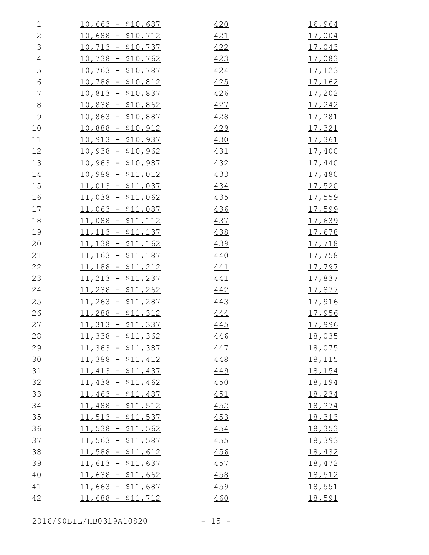| 1              | $10,663 - $10,687$ | 420 | 16,964        |
|----------------|--------------------|-----|---------------|
| $\mathbf{2}$   | $10,688 - $10,712$ | 421 | <u>17,004</u> |
| $\mathfrak{Z}$ | $10,713 - $10,737$ | 422 | <u>17,043</u> |
| $\overline{4}$ | $10,738 - $10,762$ | 423 | 17,083        |
| 5              | $10,763 - $10,787$ | 424 | 17,123        |
| $\sqrt{6}$     | $10,788 - $10,812$ | 425 | <u>17,162</u> |
| $\overline{7}$ | $10,813 - $10,837$ | 426 | 17,202        |
| $8\,$          | $10,838 - $10,862$ | 427 | 17,242        |
| $\mathcal{G}$  | $10,863 - $10,887$ | 428 | 17,281        |
| 10             | $10,888 - $10,912$ | 429 | 17,321        |
| 11             | $10,913 - $10,937$ | 430 | 17,361        |
| 12             | $10,938 - $10,962$ | 431 | 17,400        |
| 13             | $10,963 - $10,987$ | 432 | <u>17,440</u> |
| 14             | $10,988 - $11,012$ | 433 | 17,480        |
| 15             | $11,013 - $11,037$ | 434 | <u>17,520</u> |
| 16             | $11,038 - $11,062$ | 435 | 17,559        |
| 17             | $11,063 - $11,087$ | 436 | 17,599        |
| 18             | $11,088 - $11,112$ | 437 | 17,639        |
| 19             | $11,113 - $11,137$ | 438 | 17,678        |
| 20             | $11,138 - $11,162$ | 439 | <u>17,718</u> |
| 21             | $11,163 - $11,187$ | 440 | 17,758        |
| 22             | $11,188 - $11,212$ | 441 | <u>17,797</u> |
| 23             | $11,213 - $11,237$ | 441 | 17,837        |
| 24             | $11,238 - $11,262$ | 442 | <u>17,877</u> |
| 25             | $11,263 - $11,287$ | 443 | <u>17,916</u> |
| 26             | $11,288 - $11,312$ | 444 | <u>17,956</u> |
| 27             | $11,313 - $11,337$ | 445 | 17,996        |
| 28             | $11,338 - $11,362$ | 446 | <u>18,035</u> |
| 29             | $11,363 - $11,387$ | 447 | 18,075        |
| 30             | $11,388 - $11,412$ | 448 | <u>18,115</u> |
| 31             | $11,413 - $11,437$ | 449 | 18,154        |
| 32             | $11,438 - $11,462$ | 450 | 18,194        |
| 33             | $11,463 - $11,487$ | 451 | 18,234        |
| 34             | $11,488 - $11,512$ | 452 | 18,274        |
| 35             | $11,513 - $11,537$ | 453 | 18,313        |
| 36             | $11,538 - $11,562$ | 454 | 18,353        |
| 37             | $11,563 - $11,587$ | 455 | 18,393        |
| 38             | $11,588 - $11,612$ | 456 | 18,432        |
| 39             | $11,613 - $11,637$ | 457 | 18,472        |
| 40             | $11,638 - $11,662$ | 458 | 18,512        |
| 41             | $11,663 - $11,687$ | 459 | 18,551        |
| 42             | $11,688 - $11,712$ | 460 | 18,591        |

2016/90BIL/HB0319A10820 - 15 -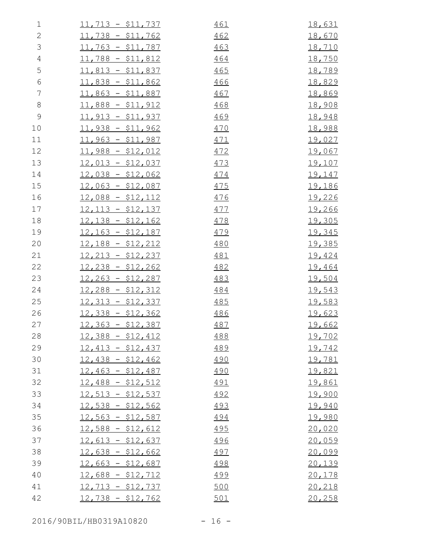| $\mathbf 1$    | $11,713 - $11,737$ | 461        | <u>18,631</u> |
|----------------|--------------------|------------|---------------|
| $\mathbf{2}$   | $11,738 - $11,762$ | 462        | 18,670        |
| $\mathfrak{Z}$ | $11,763 - $11,787$ | 463        | <u>18,710</u> |
| $\sqrt{4}$     | $11,788 - $11,812$ | 464        | <u>18,750</u> |
| 5              | $11,813 - $11,837$ | 465        | 18,789        |
| $\sqrt{6}$     | $11,838 - $11,862$ | 466        | <u>18,829</u> |
| 7              | $11,863 - $11,887$ | 467        | <u>18,869</u> |
| $8\,$          | $11,888 - $11,912$ | 468        | 18,908        |
| $\mathcal{G}$  | $11,913 - $11,937$ | 469        | 18,948        |
| 10             | $11,938 - $11,962$ | 470        | 18,988        |
| 11             | $11,963 - $11,987$ | 471        | <u>19,027</u> |
| 12             | $11,988 - $12,012$ | 472        | <u>19,067</u> |
| 13             | $12,013 - $12,037$ | 473        | <u>19,107</u> |
| 14             | $12,038 - $12,062$ | 474        | <u>19,147</u> |
| 15             | $12,063 - $12,087$ | 475        | <u>19,186</u> |
| 16             | $12,088 - $12,112$ | <u>476</u> | 19,226        |
| 17             | $12,113 - $12,137$ | 477        | <u>19,266</u> |
| 18             | $12,138 - $12,162$ | 478        | 19,305        |
| 19             | $12,163 - $12,187$ | 479        | <u>19,345</u> |
| 20             | $12,188 - $12,212$ | 480        | <u>19,385</u> |
| 21             | $12,213 - $12,237$ | 481        | 19,424        |
| 22             | $12,238 - $12,262$ | 482        | 19,464        |
| 23             | $12,263 - $12,287$ | 483        | <u>19,504</u> |
| 24             | $12,288 - $12,312$ | 484        | 19,543        |
| 25             | $12,313 - $12,337$ | 485        | <u>19,583</u> |
| 26             | $12,338 - $12,362$ | 486        | 19,623        |
| 27             | $12,363 - $12,387$ | 487        | <u>19,662</u> |
| 28             | $12,388 - $12,412$ | 488        | <u>19,702</u> |
| 29             | $12,413 - $12,437$ | 489        | 19,742        |
| 30             | $12,438 - $12,462$ | 490        | <u>19,781</u> |
| 31             | $12,463 - $12,487$ | 490        | 19,821        |
| 32             | $12,488 - $12,512$ | <u>491</u> | 19,861        |
| 33             | $12,513 - $12,537$ | 492        | 19,900        |
| 34             | $12,538 - $12,562$ | 493        | 19,940        |
| 35             | $12,563 - $12,587$ | 494        | <u>19,980</u> |
| 36             | $12,588 - $12,612$ | <u>495</u> | 20,020        |
| 37             | $12,613 - $12,637$ | 496        | 20,059        |
| 38             | $12,638 - $12,662$ | 497        | 20,099        |
| 39             | $12,663 - $12,687$ | 498        | 20,139        |
| 40             | $12,688 - $12,712$ | <u>499</u> | 20,178        |
| 41             | $12,713 - $12,737$ | 500        | 20,218        |
| 42             | $12,738 - $12,762$ | 501        | 20,258        |

2016/90BIL/HB0319A10820 - 16 -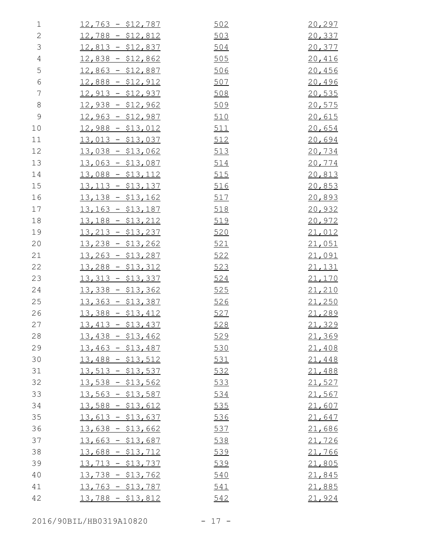| $\mathbf 1$    | $12,763 - $12,787$ | 502        | 20,297        |
|----------------|--------------------|------------|---------------|
| $\mathbf{2}$   | $12,788 - $12,812$ | 503        | 20,337        |
| 3              | $12,813 - $12,837$ | 504        | 20,377        |
| $\overline{4}$ | $12,838 - $12,862$ | <u>505</u> | 20,416        |
| 5              | $12,863 - $12,887$ | 506        | 20,456        |
| $\epsilon$     | $12,888 - $12,912$ | 507        | 20,496        |
| 7              | $12,913 - $12,937$ | 508        | 20,535        |
| $8\,$          | $12,938 - $12,962$ | 509        | 20,575        |
| $\mathcal{G}$  | $12,963 - $12,987$ | 510        | 20,615        |
| 10             | $12,988 - $13,012$ | <u>511</u> | 20,654        |
| 11             | $13,013 - $13,037$ | 512        | 20,694        |
| 12             | $13,038 - $13,062$ | 513        | 20,734        |
| 13             | $13,063 - $13,087$ | 514        | 20,774        |
| 14             | $13,088 - $13,112$ | 515        | 20,813        |
| 15             | $13,113 - $13,137$ | 516        | 20,853        |
| 16             | $13,138 - $13,162$ | 517        | 20,893        |
| 17             | $13,163 - $13,187$ | 518        | 20,932        |
| 18             | $13,188 - $13,212$ | 519        | 20,972        |
| 19             | $13,213 - $13,237$ | 520        | 21,012        |
| 20             | $13,238 - $13,262$ | 521        | 21,051        |
| 21             | $13,263 - $13,287$ | 522        | <u>21,091</u> |
| 22             | $13,288 - $13,312$ | 523        | 21,131        |
| 23             | $13,313 - $13,337$ | 524        | 21,170        |
| 24             | $13,338 - $13,362$ | 525        | 21,210        |
| 25             | $13,363 - $13,387$ | <u>526</u> | 21,250        |
| 26             | $13,388 - $13,412$ | 527        | 21,289        |
| 27             | $13,413 - $13,437$ | 528        | 21,329        |
| 28             | $13,438 - $13,462$ | 529        | 21,369        |
| 29             | $13,463 - $13,487$ | 530        | 21,408        |
| 30             | $13,488 - $13,512$ | 531        | 21,448        |
| 31             | $13,513 - $13,537$ | 532        | 21,488        |
| 32             | $13,538 - $13,562$ | 533        | 21,527        |
| 33             | $13,563 - $13,587$ | 534        | 21,567        |
| 34             | $13,588 - $13,612$ | 535        | 21,607        |
| 35             | $13,613 - $13,637$ | 536        | 21,647        |
| 36             | $13,638 - $13,662$ | 537        | 21,686        |
| 37             | $13,663 - $13,687$ | 538        | 21,726        |
| 38             | $13,688 - $13,712$ | 539        | 21,766        |
| 39             | $13,713 - $13,737$ | 539        | 21,805        |
| 40             | $13,738 - $13,762$ | 540        | 21,845        |
| 41             | $13,763 - $13,787$ | 541        | 21,885        |
| 42             | $13,788 - $13,812$ | 542        | 21,924        |
|                |                    |            |               |

2016/90BIL/HB0319A10820 - 17 -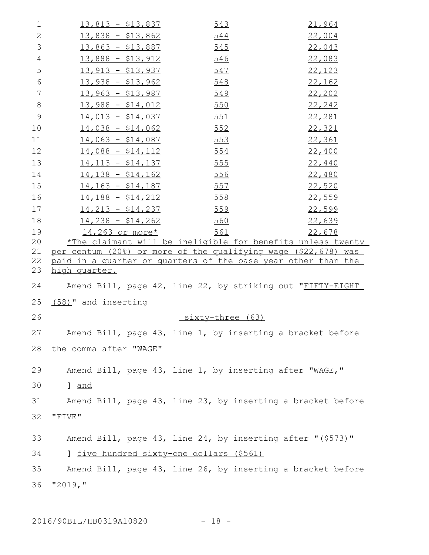| $\mathbf 1$    | <u> 13,813 - \$13,837</u>                | 543<br>21,964                                                  |  |
|----------------|------------------------------------------|----------------------------------------------------------------|--|
| 2              | $13,838 - $13,862$                       | 22,004<br>544                                                  |  |
| 3              | <u> 13,863 - \$13,887</u>                | 22,043<br>545                                                  |  |
| $\overline{4}$ | $13,888 - $13,912$                       | 546<br>22,083                                                  |  |
| 5              | $13,913 - $13,937$                       | 22,123<br>547                                                  |  |
| 6              | $13,938 - $13,962$                       | 22,162<br>548                                                  |  |
| 7              | $13,963 - $13,987$                       | 549<br>22, 202                                                 |  |
| 8              | $13,988 - $14,012$                       | 550<br>22,242                                                  |  |
| $\mathsf 9$    | $14,013 - $14,037$                       | <u>551</u><br>22,281                                           |  |
| 10             | $14,038 - $14,062$                       | 552<br>22,321                                                  |  |
| 11             | $14,063 - $14,087$ 553                   | 22,361                                                         |  |
| 12             | $14,088 - $14,112$                       | 22,400<br><u>554</u>                                           |  |
| 13             | <u> 14,113 - \$14,137</u>                | <u>555</u><br>22,440                                           |  |
| 14             | $14,138 - $14,162$                       | 22,480<br><u>556</u>                                           |  |
| 15             | $14,163 - $14,187$                       | 22,520<br>557                                                  |  |
| 16             | $14,188 - $14,212$                       | 22,559<br>558                                                  |  |
| 17             | $14,213 - $14,237$                       | <u>559</u><br>22,599                                           |  |
| 18             | $14,238 - $14,262$                       | 560<br>22,639                                                  |  |
| 19             | $14,263$ or more*                        | 561<br>22,678                                                  |  |
| 20             |                                          | *The claimant will be ineligible for benefits unless twenty    |  |
| 21             |                                          | per centum (20%) or more of the qualifying wage (\$22,678) was |  |
| 22<br>23       | high quarter.                            | paid in a quarter or quarters of the base year other than the  |  |
| 24             |                                          | Amend Bill, page 42, line 22, by striking out "FIFTY-EIGHT     |  |
| 25             | (58)" and inserting                      |                                                                |  |
| 26             |                                          | sixty-three (63)                                               |  |
|                |                                          |                                                                |  |
| 27             |                                          | Amend Bill, page 43, line 1, by inserting a bracket before     |  |
| 28             | the comma after "WAGE"                   |                                                                |  |
| 29             |                                          | Amend Bill, page 43, line 1, by inserting after "WAGE,"        |  |
| 30             | 1 and                                    |                                                                |  |
| 31             |                                          | Amend Bill, page 43, line 23, by inserting a bracket before    |  |
| 32             | "FIVE"                                   |                                                                |  |
| 33             |                                          | Amend Bill, page 43, line 24, by inserting after "(\$573)"     |  |
| 34             | 1 five hundred sixty-one dollars (\$561) |                                                                |  |
| 35             |                                          | Amend Bill, page 43, line 26, by inserting a bracket before    |  |
| 36             | "2019, "                                 |                                                                |  |
|                |                                          |                                                                |  |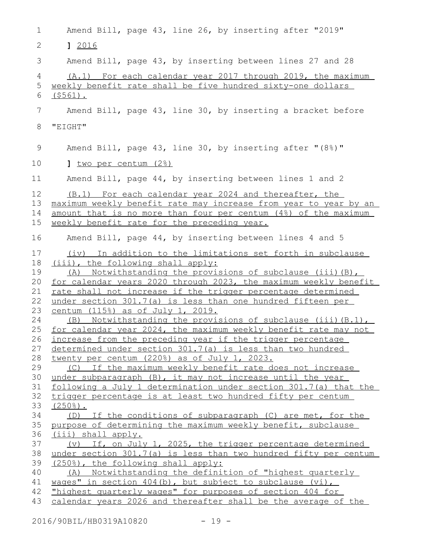| 1                    | Amend Bill, page 43, line 26, by inserting after "2019"                                                                                                                                                                              |
|----------------------|--------------------------------------------------------------------------------------------------------------------------------------------------------------------------------------------------------------------------------------|
| 2                    | 1 2016                                                                                                                                                                                                                               |
| 3                    | Amend Bill, page 43, by inserting between lines 27 and 28                                                                                                                                                                            |
| 4<br>5<br>6          | (A.1) For each calendar year 2017 through 2019, the maximum<br>weekly benefit rate shall be five hundred sixty-one dollars<br>$(5561)$ .                                                                                             |
| 7                    | Amend Bill, page 43, line 30, by inserting a bracket before                                                                                                                                                                          |
| 8                    | "EIGHT"                                                                                                                                                                                                                              |
| 9                    | Amend Bill, page 43, line 30, by inserting after "(8%)"                                                                                                                                                                              |
| 10                   | 1 two per centum (2%)                                                                                                                                                                                                                |
| 11                   | Amend Bill, page 44, by inserting between lines 1 and 2                                                                                                                                                                              |
| 12<br>13             | (B.1) For each calendar year 2024 and thereafter, the<br>maximum weekly benefit rate may increase from year to year by an                                                                                                            |
| 14                   | amount that is no more than four per centum (4%) of the maximum                                                                                                                                                                      |
| 15                   | weekly benefit rate for the preceding year.                                                                                                                                                                                          |
| 16                   | Amend Bill, page 44, by inserting between lines 4 and 5                                                                                                                                                                              |
| 17<br>18<br>19<br>20 | (iv) In addition to the limitations set forth in subclause<br>(iii), the following shall apply:<br>Notwithstanding the provisions of subclause (iii) (B),<br>(A)<br>for calendar years 2020 through 2023, the maximum weekly benefit |
| 21                   | rate shall not increase if the trigger percentage determined                                                                                                                                                                         |
| 22                   | under section 301.7(a) is less than one hundred fifteen per                                                                                                                                                                          |
| 23                   | <u>centum (115%) as of July 1, 2019.</u>                                                                                                                                                                                             |
| 24                   | $(B)$ Notwithstanding the provisions of subclause (iii) $(B.1)$ ,                                                                                                                                                                    |
| 25                   | for calendar year 2024, the maximum weekly benefit rate may not                                                                                                                                                                      |
| 26                   | increase from the preceding year if the trigger percentage                                                                                                                                                                           |
| 27                   | determined under section 301.7(a) is less than two hundred                                                                                                                                                                           |
| 28<br>29             | twenty per centum (220%) as of July 1, 2023.<br>(C) If the maximum weekly benefit rate does not increase                                                                                                                             |
| 30                   | under subparagraph (B), it may not increase until the year                                                                                                                                                                           |
| 31                   | following a July 1 determination under section 301.7(a) that the                                                                                                                                                                     |
| 32                   | trigger percentage is at least two hundred fifty per centum                                                                                                                                                                          |
| 33                   | $(250$ <sup>8</sup> ).                                                                                                                                                                                                               |
| 34                   | (D) If the conditions of subparagraph (C) are met, for the                                                                                                                                                                           |
| 35                   | purpose of determining the maximum weekly benefit, subclause                                                                                                                                                                         |
| 36                   | (iii) shall apply.                                                                                                                                                                                                                   |
| 37                   | (v) If, on July 1, 2025, the trigger percentage determined                                                                                                                                                                           |
| 38                   | under section 301.7(a) is less than two hundred fifty per centum                                                                                                                                                                     |
| 39                   | (250%), the following shall apply:                                                                                                                                                                                                   |
| 40                   | (A) Notwithstanding the definition of "highest quarterly                                                                                                                                                                             |
| 41                   | wages" in section $404(b)$ , but subject to subclause $(vi)$ ,                                                                                                                                                                       |
| 42                   | "highest quarterly wages" for purposes of section 404 for                                                                                                                                                                            |
| 43                   | calendar years 2026 and thereafter shall be the average of the                                                                                                                                                                       |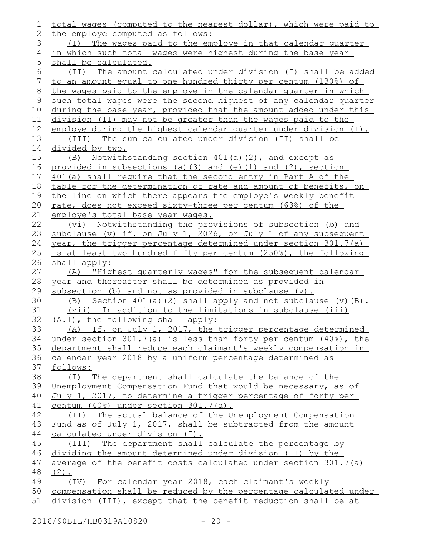| 1           | total wages (computed to the nearest dollar), which were paid to |
|-------------|------------------------------------------------------------------|
| 2           | the employe computed as follows:                                 |
| 3           | (I) The wages paid to the employe in that calendar quarter       |
| 4           | in which such total wages were highest during the base year      |
| 5           | shall be calculated.                                             |
| 6           | (II) The amount calculated under division (I) shall be added     |
| 7           | to an amount equal to one hundred thirty per centum (130%) of    |
| $\,8\,$     | the wages paid to the employe in the calendar quarter in which   |
| $\mathsf 9$ | such total wages were the second highest of any calendar quarter |
| 10          | during the base year, provided that the amount added under this  |
| 11          | division (II) may not be greater than the wages paid to the      |
| 12          | employe during the highest calendar quarter under division (I).  |
| 13          | (III) The sum calculated under division (II) shall be            |
| 14          | divided by two.                                                  |
| 15          | (B) Notwithstanding section 401(a)(2), and except as             |
| 16          | provided in subsections (a) (3) and (e) (1) and (2), section     |
| 17          | 401(a) shall require that the second entry in Part A of the      |
| 18          | table for the determination of rate and amount of benefits, on   |
| 19          | the line on which there appears the employe's weekly benefit     |
| 20          | rate, does not exceed sixty-three per centum (63%) of the        |
| 21          | employe's total base year wages.                                 |
| 22          | (vi) Notwithstanding the provisions of subsection (b) and        |
| 23          | subclause (v) if, on July 1, 2026, or July 1 of any subsequent   |
| 24          | year, the trigger percentage determined under section 301.7(a)   |
| 25          | is at least two hundred fifty per centum (250%), the following   |
| 26          | shall apply:                                                     |
| 27          | "Highest quarterly wages" for the subsequent calendar<br>(A)     |
| 28          | year and thereafter shall be determined as provided in           |
| 29          | subsection (b) and not as provided in subclause (v).             |
| 30          | (B) Section $401(a)(2)$ shall apply and not subclause $(v)(B)$ . |
| 31          | (vii) In addition to the limitations in subclause (iii)          |
| 32          | (A.1), the following shall apply:                                |
| 33          | (A) If, on July 1, 2017, the trigger percentage determined       |
| 34          | under section 301.7(a) is less than forty per centum (40%), the  |
| 35          | department shall reduce each claimant's weekly compensation in   |
| 36          | calendar year 2018 by a uniform percentage determined as         |
| 37          | follows:                                                         |
| 38          | (I) The department shall calculate the balance of the            |
| 39          | Unemployment Compensation Fund that would be necessary, as of    |
| 40          | July 1, 2017, to determine a trigger percentage of forty per     |
| 41          | centum (40%) under section 301.7(a).                             |
| 42          | (II) The actual balance of the Unemployment Compensation         |
| 43          | Fund as of July 1, 2017, shall be subtracted from the amount     |
| 44          | calculated under division (I).                                   |
| 45          | (III) The department shall calculate the percentage by           |
| 46          | dividing the amount determined under division (II) by the        |
| 47          | average of the benefit costs calculated under section 301.7(a)   |
| 48          | $(2)$ .                                                          |
| 49          | (IV) For calendar year 2018, each claimant's weekly              |
| 50          | compensation shall be reduced by the percentage calculated under |
| 51          | division (III), except that the benefit reduction shall be at    |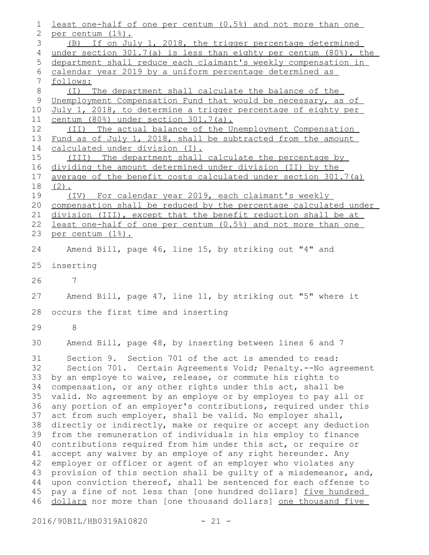least one-half of one per centum (0.5%) and not more than one per centum (1%). (B) If on July 1, 2018, the trigger percentage determined under section 301.7(a) is less than eighty per centum (80%), the department shall reduce each claimant's weekly compensation in calendar year 2019 by a uniform percentage determined as follows: (I) The department shall calculate the balance of the Unemployment Compensation Fund that would be necessary, as of July 1, 2018, to determine a trigger percentage of eighty per centum (80%) under section 301.7(a). (II) The actual balance of the Unemployment Compensation Fund as of July 1, 2018, shall be subtracted from the amount calculated under division (I). (III) The department shall calculate the percentage by dividing the amount determined under division (II) by the average of the benefit costs calculated under section 301.7(a)  $(2)$ . (IV) For calendar year 2019, each claimant's weekly compensation shall be reduced by the percentage calculated under division (III), except that the benefit reduction shall be at least one-half of one per centum (0.5%) and not more than one per centum (1%). Amend Bill, page 46, line 15, by striking out "4" and inserting 7 Amend Bill, page 47, line 11, by striking out "5" where it occurs the first time and inserting 8 Amend Bill, page 48, by inserting between lines 6 and 7 Section 9. Section 701 of the act is amended to read: Section 701. Certain Agreements Void; Penalty.--No agreement by an employe to waive, release, or commute his rights to compensation, or any other rights under this act, shall be valid. No agreement by an employe or by employes to pay all or any portion of an employer's contributions, required under this act from such employer, shall be valid. No employer shall, directly or indirectly, make or require or accept any deduction from the remuneration of individuals in his employ to finance contributions required from him under this act, or require or accept any waiver by an employe of any right hereunder. Any employer or officer or agent of an employer who violates any provision of this section shall be guilty of a misdemeanor, and, upon conviction thereof, shall be sentenced for each offense to pay a fine of not less than [one hundred dollars] five hundred dollars nor more than [one thousand dollars] one thousand five 1 2 3 4 5 6 7 8 9 10 11 12 13 14 15 16 17 18 19 20 21 22 23 24 25 26 27 28 29 30 31 32 33 34 35 36 37 38 39 40 41 42 43 44 45 46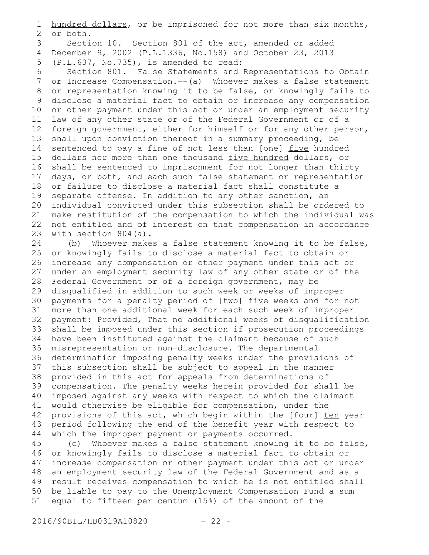hundred dollars, or be imprisoned for not more than six months, or both. Section 10. Section 801 of the act, amended or added December 9, 2002 (P.L.1336, No.158) and October 23, 2013 4 (P.L.637, No.735), is amended to read: Section 801. False Statements and Representations to Obtain or Increase Compensation.--(a) Whoever makes a false statement or representation knowing it to be false, or knowingly fails to disclose a material fact to obtain or increase any compensation or other payment under this act or under an employment security law of any other state or of the Federal Government or of a foreign government, either for himself or for any other person, shall upon conviction thereof in a summary proceeding, be sentenced to pay a fine of not less than [one] five hundred dollars nor more than one thousand five hundred dollars, or shall be sentenced to imprisonment for not longer than thirty days, or both, and each such false statement or representation or failure to disclose a material fact shall constitute a separate offense. In addition to any other sanction, an individual convicted under this subsection shall be ordered to make restitution of the compensation to which the individual was not entitled and of interest on that compensation in accordance with section 804(a). (b) Whoever makes a false statement knowing it to be false, 1 2 3 5 6 7 8 9 10 11 12 13 14 15 16 17 18 19 20 21 22 23 24

or knowingly fails to disclose a material fact to obtain or increase any compensation or other payment under this act or under an employment security law of any other state or of the Federal Government or of a foreign government, may be disqualified in addition to such week or weeks of improper payments for a penalty period of [two] five weeks and for not more than one additional week for each such week of improper 31 payment: Provided, That no additional weeks of disqualification shall be imposed under this section if prosecution proceedings 33 have been instituted against the claimant because of such misrepresentation or non-disclosure. The departmental 36 determination imposing penalty weeks under the provisions of this subsection shall be subject to appeal in the manner provided in this act for appeals from determinations of compensation. The penalty weeks herein provided for shall be imposed against any weeks with respect to which the claimant would otherwise be eligible for compensation, under the provisions of this act, which begin within the [four] ten year period following the end of the benefit year with respect to which the improper payment or payments occurred. 25 26 27 28 29 30 32 34 35 37 38 39 40 41 42 43 44

(c) Whoever makes a false statement knowing it to be false, or knowingly fails to disclose a material fact to obtain or increase compensation or other payment under this act or under an employment security law of the Federal Government and as a result receives compensation to which he is not entitled shall be liable to pay to the Unemployment Compensation Fund a sum equal to fifteen per centum (15%) of the amount of the 45 46 47 48 49 50 51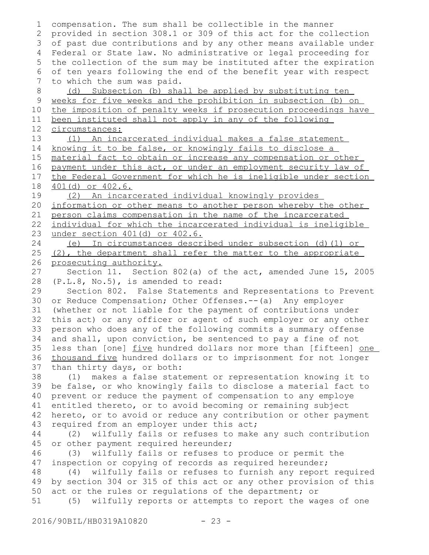| 1             | compensation. The sum shall be collectible in the manner         |
|---------------|------------------------------------------------------------------|
| 2             | provided in section 308.1 or 309 of this act for the collection  |
| 3             | of past due contributions and by any other means available under |
| 4             | Federal or State law. No administrative or legal proceeding for  |
| 5             | the collection of the sum may be instituted after the expiration |
| 6             | of ten years following the end of the benefit year with respect  |
| 7             | to which the sum was paid.                                       |
| 8             | (d) Subsection (b) shall be applied by substituting ten          |
| $\mathcal{G}$ | weeks for five weeks and the prohibition in subsection (b) on    |
| 10            | the imposition of penalty weeks if prosecution proceedings have  |
| 11            | been instituted shall not apply in any of the following          |
| 12            | circumstances:                                                   |
| 13            | (1) An incarcerated individual makes a false statement           |
| 14            | knowing it to be false, or knowingly fails to disclose a         |
| 15            | material fact to obtain or increase any compensation or other    |
| 16            | payment under this act, or under an employment security law of   |
| 17            | the Federal Government for which he is ineligible under section  |
| 18            | 401(d) or 402.6.                                                 |
| 19            | (2) An incarcerated individual knowingly provides                |
| 20            | information or other means to another person whereby the other   |
| 21            | person claims compensation in the name of the incarcerated       |
| 22            | individual for which the incarcerated individual is ineligible   |
| 23            | under section 401(d) or 402.6.                                   |
| 24            | (e) In circumstances described under subsection (d)(1) or        |
| 25            | (2), the department shall refer the matter to the appropriate    |
| 26            | prosecuting authority.                                           |
| 27            | Section 11. Section 802(a) of the act, amended June 15, 2005     |
| 28            | (P.L.8, No.5), is amended to read:                               |
| 29            | Section 802. False Statements and Representations to Prevent     |
| 30            | or Reduce Compensation; Other Offenses.-- (a) Any employer       |
| 31            | (whether or not liable for the payment of contributions under    |
| 32            | this act) or any officer or agent of such employer or any other  |
| 33            | person who does any of the following commits a summary offense   |
| 34            | and shall, upon conviction, be sentenced to pay a fine of not    |
| 35            | less than [one] five hundred dollars nor more than [fifteen] one |
| 36            | thousand five hundred dollars or to imprisonment for not longer  |
| 37            | than thirty days, or both:                                       |
| 38            | makes a false statement or representation knowing it to<br>(1)   |
| 39            | be false, or who knowingly fails to disclose a material fact to  |
| 40            | prevent or reduce the payment of compensation to any employe     |
| 41            | entitled thereto, or to avoid becoming or remaining subject      |
| 42            | hereto, or to avoid or reduce any contribution or other payment  |
| 43            | required from an employer under this act;                        |
| 44            | wilfully fails or refuses to make any such contribution<br>(2)   |
| 45            | or other payment required hereunder;                             |
| 46            | wilfully fails or refuses to produce or permit the<br>(3)        |
| 47            | inspection or copying of records as required hereunder;          |
| 48            | wilfully fails or refuses to furnish any report required<br>(4)  |
| 49            | by section 304 or 315 of this act or any other provision of this |
| 50            | act or the rules or regulations of the department; or            |
| 51            | wilfully reports or attempts to report the wages of one<br>(5)   |
|               |                                                                  |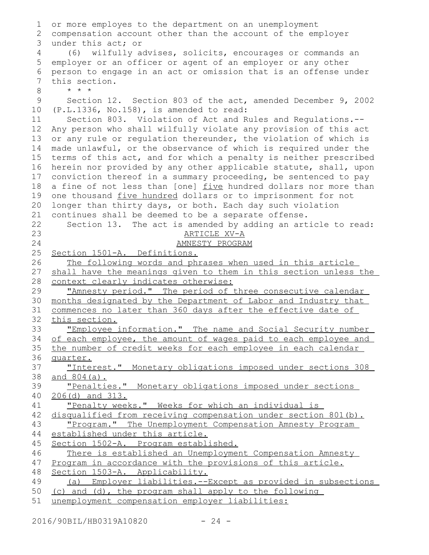| 1              | or more employes to the department on an unemployment                                                                          |
|----------------|--------------------------------------------------------------------------------------------------------------------------------|
| 2              | compensation account other than the account of the employer                                                                    |
| 3              | under this act; or                                                                                                             |
| $\overline{4}$ | (6) wilfully advises, solicits, encourages or commands an                                                                      |
| 5              | employer or an officer or agent of an employer or any other                                                                    |
| 6              | person to engage in an act or omission that is an offense under                                                                |
| 7              | this section.                                                                                                                  |
| 8              | $\star$ $\star$ $\star$                                                                                                        |
| 9              | Section 12. Section 803 of the act, amended December 9, 2002                                                                   |
| 10             | $(P.L.1336, No.158)$ , is amended to read:                                                                                     |
| 11             | Section 803. Violation of Act and Rules and Regulations.--                                                                     |
| 12             | Any person who shall wilfully violate any provision of this act                                                                |
| 13             | or any rule or regulation thereunder, the violation of which is                                                                |
| 14             | made unlawful, or the observance of which is required under the                                                                |
| 15             | terms of this act, and for which a penalty is neither prescribed                                                               |
| 16             | herein nor provided by any other applicable statute, shall, upon                                                               |
| 17             | conviction thereof in a summary proceeding, be sentenced to pay                                                                |
| 18             | a fine of not less than [one] five hundred dollars nor more than                                                               |
| 19             | one thousand five hundred dollars or to imprisonment for not                                                                   |
| 20             | longer than thirty days, or both. Each day such violation                                                                      |
| 21             | continues shall be deemed to be a separate offense.                                                                            |
| 22             | Section 13. The act is amended by adding an article to read:                                                                   |
| 23             | ARTICLE XV-A                                                                                                                   |
| 24             | AMNESTY PROGRAM                                                                                                                |
| 25             | Section 1501-A. Definitions.                                                                                                   |
| 26             | The following words and phrases when used in this article                                                                      |
| 27             | shall have the meanings given to them in this section unless the                                                               |
| 28             | context clearly indicates otherwise:                                                                                           |
| 29<br>30       | "Amnesty period." The period of three consecutive calendar                                                                     |
| 31             | months designated by the Department of Labor and Industry that<br>commences no later than 360 days after the effective date of |
| 32             | this section.                                                                                                                  |
| 33             |                                                                                                                                |
| 34             | "Employee information." The name and Social Security number<br>of each employee, the amount of wages paid to each employee and |
| 35             | the number of credit weeks for each employee in each calendar                                                                  |
| 36             | quarter.                                                                                                                       |
| 37             | "Interest." Monetary obligations imposed under sections 308                                                                    |
| 38             | <u>and 804(a).</u>                                                                                                             |
| 39             | "Penalties." Monetary obligations imposed under sections                                                                       |
| 40             | $206(d)$ and $313$ .                                                                                                           |
| 41             | "Penalty weeks." Weeks for which an individual is                                                                              |
| 42             | disqualified from receiving compensation under section 801(b).                                                                 |
| 43             | "Program." The Unemployment Compensation Amnesty Program                                                                       |
| 44             | established under this article.                                                                                                |
| 45             | Section 1502-A. Program established.                                                                                           |
| 46             | There is established an Unemployment Compensation Amnesty                                                                      |
| 47             | Program in accordance with the provisions of this article.                                                                     |
| 48             | Section 1503-A. Applicability.                                                                                                 |
| 49             | (a) Employer liabilities.--Except as provided in subsections                                                                   |
| 50             | (c) and (d), the program shall apply to the following                                                                          |
| 51             | unemployment compensation employer liabilities:                                                                                |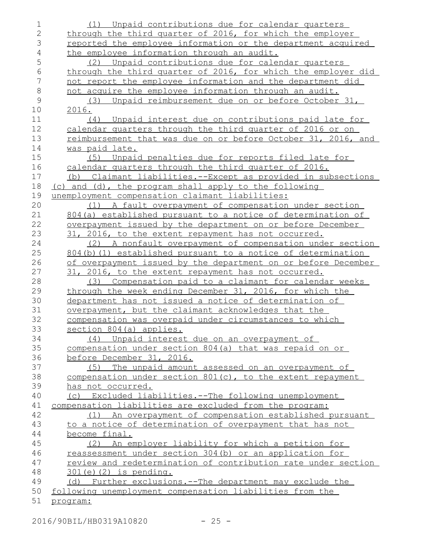| $\mathbf 1$    | (1) Unpaid contributions due for calendar quarters            |
|----------------|---------------------------------------------------------------|
| $\overline{2}$ | through the third quarter of 2016, for which the employer     |
| 3              | reported the employee information or the department acquired  |
| $\overline{4}$ | the employee information through an audit.                    |
| 5              | (2) Unpaid contributions due for calendar quarters            |
| 6              | through the third quarter of 2016, for which the employer did |
| 7              | not report the employee information and the department did    |
| $\,8\,$        | not acquire the employee information through an audit.        |
| $\mathcal{G}$  | (3)<br>Unpaid reimbursement due on or before October 31,      |
| 10             | 2016.                                                         |
| 11             | (4) Unpaid interest due on contributions paid late for        |
| 12             | calendar quarters through the third quarter of 2016 or on     |
| 13             | reimbursement that was due on or before October 31, 2016, and |
| 14             | was paid late.                                                |
| 15             | (5) Unpaid penalties due for reports filed late for           |
| 16             | calendar quarters through the third quarter of 2016.          |
| 17             | (b) Claimant liabilities.--Except as provided in subsections  |
| 18             | (c) and (d), the program shall apply to the following         |
| 19             | unemployment compensation claimant liabilities:               |
| 20             | A fault overpayment of compensation under section<br>(1)      |
| 21             | 804 (a) established pursuant to a notice of determination of  |
| 22             | overpayment issued by the department on or before December    |
| 23             | 31, 2016, to the extent repayment has not occurred.           |
| 24             | (2) A nonfault overpayment of compensation under section      |
| 25             | 804(b)(1) established pursuant to a notice of determination   |
| 26             | of overpayment issued by the department on or before December |
| 27             | 31, 2016, to the extent repayment has not occurred.           |
| 28             | Compensation paid to a claimant for calendar weeks<br>(3)     |
| 29             | through the week ending December 31, 2016, for which the      |
| 30             | department has not issued a notice of determination of        |
| 31             | overpayment, but the claimant acknowledges that the           |
| 32             | compensation was overpaid under circumstances to which        |
| 33             | section 804(a) applies.                                       |
| 34             | (4) Unpaid interest due on an overpayment of                  |
| 35             | compensation under section 804(a) that was repaid on or       |
| 36             | before December 31, 2016.                                     |
| 37             | (5) The unpaid amount assessed on an overpayment of           |
| 38             | compensation under section $801(c)$ , to the extent repayment |
| 39             | has not occurred.                                             |
| 40             | Excluded liabilities.--The following unemployment<br>(C)      |
| 41             | compensation liabilities are excluded from the program:       |
| 42             | (1) An overpayment of compensation established pursuant       |
| 43             | to a notice of determination of overpayment that has not      |
| 44             | become final.                                                 |
| 45             | (2) An employer liability for which a petition for            |
| 46             | reassessment under section 304(b) or an application for       |
| 47             | review and redetermination of contribution rate under section |
| 48             | $301(e)$ (2) is pending.                                      |
| 49             | (d) Further exclusions.--The department may exclude the       |
| 50             | following unemployment compensation liabilities from the      |
| 51             | program:                                                      |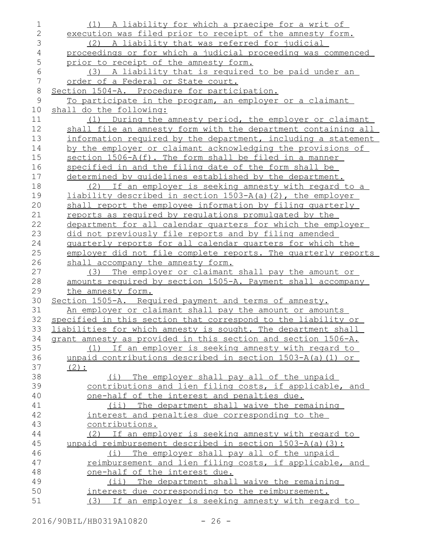| $\mathbf 1$      | (1) A liability for which a praecipe for a writ of            |
|------------------|---------------------------------------------------------------|
| $\overline{2}$   | execution was filed prior to receipt of the amnesty form.     |
| 3                | (2) A liability that was referred for judicial                |
| $\overline{4}$   | proceedings or for which a judicial proceeding was commenced  |
| 5                | prior to receipt of the amnesty form.                         |
| $\sqrt{6}$       | (3) A liability that is required to be paid under an          |
| $\boldsymbol{7}$ | order of a Federal or State court.                            |
| $\,8\,$          | Section 1504-A. Procedure for participation.                  |
| $\mathsf 9$      | To participate in the program, an employer or a claimant      |
| 10               | shall do the following:                                       |
| 11               | (1) During the amnesty period, the employer or claimant       |
| 12               | shall file an amnesty form with the department containing all |
| 13               | information required by the department, including a statement |
| 14               | by the employer or claimant acknowledging the provisions of   |
| 15               | section 1506-A(f). The form shall be filed in a manner        |
| 16               | specified in and the filing date of the form shall be         |
| 17               | determined by quidelines established by the department.       |
| 18               | (2) If an employer is seeking amnesty with regard to a        |
| 19               | liability described in section 1503-A(a)(2), the employer     |
| 20               | shall report the employee information by filing quarterly     |
| 21               | reports as required by requlations promulgated by the         |
| 22               | department for all calendar quarters for which the employer   |
| 23               | did not previously file reports and by filing amended         |
| 24               | quarterly reports for all calendar quarters for which the     |
| 25               | employer did not file complete reports. The quarterly reports |
| 26               | shall accompany the amnesty form.                             |
| 27               | The employer or claimant shall pay the amount or<br>(3)       |
| 28               | amounts required by section 1505-A. Payment shall accompany   |
| 29               | the amnesty form.                                             |
| 30               | Section 1505-A. Required payment and terms of amnesty.        |
| 31               | An employer or claimant shall pay the amount or amounts       |
| 32               | specified in this section that correspond to the liability or |
| 33               | liabilities for which amnesty is sought. The department shall |
| 34               | grant amnesty as provided in this section and section 1506-A. |
| 35               | (1) If an employer is seeking amnesty with regard to          |
| 36               | unpaid contributions described in section 1503-A(a)(1) or     |
| 37               | $(2)$ :                                                       |
| 38               | (i) The employer shall pay all of the unpaid                  |
| 39               | contributions and lien filing costs, if applicable, and       |
| 40               | one-half of the interest and penalties due.                   |
| 41               | (ii) The department shall waive the remaining                 |
| 42               | interest and penalties due corresponding to the               |
| 43               | contributions.                                                |
| 44               | (2) If an employer is seeking amnesty with regard to          |
| 45               | unpaid reimbursement described in section 1503-A(a)(3):       |
| 46               | (i) The employer shall pay all of the unpaid                  |
| 47               | reimbursement and lien filing costs, if applicable, and       |
| 48               | one-half of the interest due.                                 |
| 49               | (ii) The department shall waive the remaining                 |
| 50               | interest due corresponding to the reimbursement.              |
| 51               | (3) If an employer is seeking amnesty with regard to          |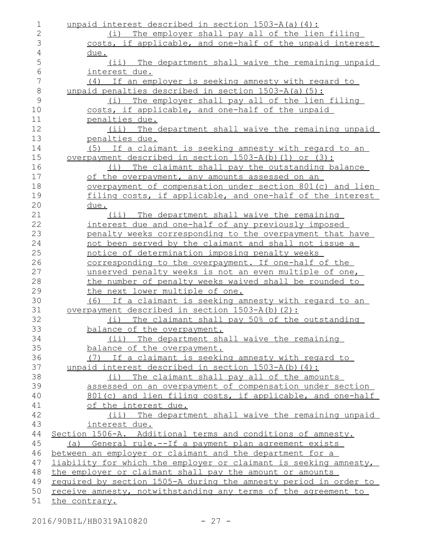| 1              | unpaid interest described in section 1503-A(a)(4):               |
|----------------|------------------------------------------------------------------|
| $\overline{2}$ | (i) The employer shall pay all of the lien filing                |
| 3              | costs, if applicable, and one-half of the unpaid interest        |
| 4              | due.                                                             |
| 5              | (ii) The department shall waive the remaining unpaid             |
| 6              | interest due.                                                    |
| 7              | (4) If an employer is seeking amnesty with regard to             |
| $\,8\,$        | unpaid penalties described in section 1503-A(a)(5):              |
| $\mathcal{G}$  | (i) The employer shall pay all of the lien filing                |
| 10             | costs, if applicable, and one-half of the unpaid                 |
| 11             | penalties due.                                                   |
| 12             | (ii) The department shall waive the remaining unpaid             |
| 13             | penalties due.                                                   |
| 14             | (5) If a claimant is seeking amnesty with regard to an           |
| 15             | overpayment described in section $1503-A(b)$ (1) or (3):         |
| 16             | (i) The claimant shall pay the outstanding balance               |
| 17             | of the overpayment, any amounts assessed on an                   |
| 18             | overpayment of compensation under section 801(c) and lien        |
| 19             | filing costs, if applicable, and one-half of the interest        |
| 20             | <u>due.</u>                                                      |
| 21             | (ii) The department shall waive the remaining                    |
| 22             | interest due and one-half of any previously imposed              |
| 23             | penalty weeks corresponding to the overpayment that have         |
| 24             | not been served by the claimant and shall not issue a            |
| 25             | notice of determination imposing penalty weeks                   |
| 26             | corresponding to the overpayment. If one-half of the             |
| 27             | unserved penalty weeks is not an even multiple of one,           |
| 28             | the number of penalty weeks waived shall be rounded to           |
| 29             | the next lower multiple of one.                                  |
| 30             | (6) If a claimant is seeking amnesty with regard to an           |
| 31             | <u>overpayment described in section 1503-A(b)(2):</u>            |
| 32             | (i) The claimant shall pay 50% of the outstanding                |
| 33             | balance of the overpayment.                                      |
| 34             | (ii) The department shall waive the remaining                    |
| 35             | balance of the overpayment.                                      |
| 36             | (7) If a claimant is seeking amnesty with regard to              |
| 37             | unpaid interest described in section 1503-A(b)(4):               |
| 38             | The claimant shall pay all of the amounts<br>(i)                 |
| 39             | assessed on an overpayment of compensation under section         |
| 40             | 801(c) and lien filing costs, if applicable, and one-half        |
| 41             | of the interest due.                                             |
| 42             | (ii) The department shall waive the remaining unpaid             |
| 43             | interest due.                                                    |
| 44             | Section 1506-A. Additional terms and conditions of amnesty.      |
| 45             | (a) General rule.--If a payment plan agreement exists            |
| 46             | between an employer or claimant and the department for a         |
| 47             | liability for which the employer or claimant is seeking amnesty, |
| 48             | the employer or claimant shall pay the amount or amounts         |
| 49             | required by section 1505-A during the amnesty period in order to |
| 50             | receive amnesty, notwithstanding any terms of the agreement to   |
| 51             | the contrary.                                                    |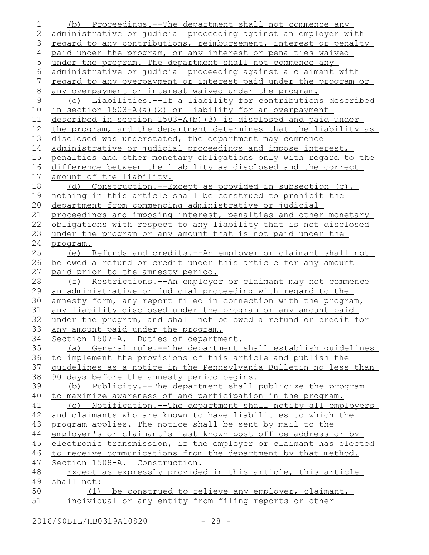| 1            | (b) Proceedings.--The department shall not commence any                                                 |
|--------------|---------------------------------------------------------------------------------------------------------|
| $\mathbf{2}$ | administrative or judicial proceeding against an employer with                                          |
| 3            | regard to any contributions, reimbursement, interest or penalty                                         |
| 4            | paid under the program, or any interest or penalties waived                                             |
| 5            | under the program. The department shall not commence any                                                |
| 6            | administrative or judicial proceeding against a claimant with                                           |
| 7            | regard to any overpayment or interest paid under the program or                                         |
| $\,8\,$      | any overpayment or interest waived under the program.                                                   |
| $\mathsf 9$  | (c) Liabilities.--If a liability for contributions described                                            |
| 10           | in section 1503-A(a)(2) or liability for an overpayment                                                 |
| 11           | described in section 1503-A(b) (3) is disclosed and paid under                                          |
| 12           | the program, and the department determines that the liability as                                        |
| 13           | disclosed was understated, the department may commence                                                  |
| 14           | administrative or judicial proceedings and impose interest,                                             |
| 15           | penalties and other monetary obligations only with regard to the                                        |
| 16           | difference between the liability as disclosed and the correct                                           |
| 17           | amount of the liability.                                                                                |
| 18           | (d) Construction.--Except as provided in subsection $(c)$ ,                                             |
| 19           | nothing in this article shall be construed to prohibit the                                              |
| 20           | department from commencing administrative or judicial                                                   |
| 21           | proceedings and imposing interest, penalties and other monetary                                         |
| 22           | obligations with respect to any liability that is not disclosed                                         |
| 23           | under the program or any amount that is not paid under the                                              |
| 24           | program.                                                                                                |
| 25           | (e) Refunds and credits.--An employer or claimant shall not                                             |
| 26           | be owed a refund or credit under this article for any amount                                            |
| 27           | paid prior to the amnesty period.                                                                       |
| 28           | Restrictions.--An employer or claimant may not commence<br>(f)                                          |
| 29           | an administrative or judicial proceeding with regard to the                                             |
| 30           | amnesty form, any report filed in connection with the program,                                          |
| 31           | any liability disclosed under the program or any amount paid                                            |
| 32           | under the program, and shall not be owed a refund or credit for                                         |
| 33           | any amount paid under the program.                                                                      |
| 34           | Section 1507-A. Duties of department.                                                                   |
| 35           | (a) General rule.--The department shall establish quidelines                                            |
| 36           | to implement the provisions of this article and publish the                                             |
| 37<br>38     | quidelines as a notice in the Pennsylvania Bulletin no less than                                        |
| 39           | 90 days before the amnesty period begins.<br>(b) Publicity.--The department shall publicize the program |
| 40           | to maximize awareness of and participation in the program.                                              |
| 41           | Notification.--The department shall notify all employers<br>(C)                                         |
| 42           | and claimants who are known to have liabilities to which the                                            |
| 43           | program applies. The notice shall be sent by mail to the                                                |
| 44           | employer's or claimant's last known post office address or by                                           |
| 45           | electronic transmission, if the employer or claimant has elected                                        |
| 46           | to receive communications from the department by that method.                                           |
| 47           | Section 1508-A. Construction.                                                                           |
| 48           | Except as expressly provided in this article, this article                                              |
| 49           | shall not:                                                                                              |
| 50           | (1) be construed to relieve any employer, claimant,                                                     |
| 51           | individual or any entity from filing reports or other                                                   |
|              |                                                                                                         |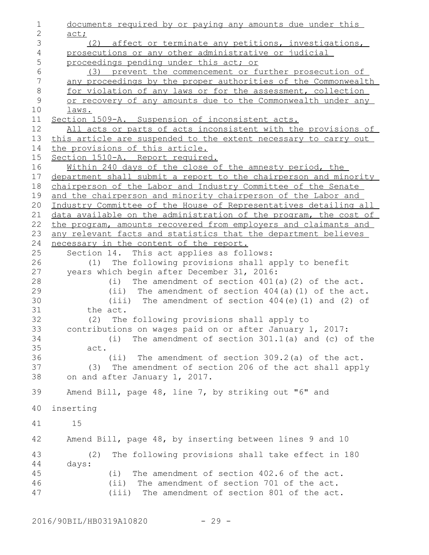documents required by or paying any amounts due under this act; (2) affect or terminate any petitions, investigations, prosecutions or any other administrative or judicial proceedings pending under this act; or (3) prevent the commencement or further prosecution of any proceedings by the proper authorities of the Commonwealth for violation of any laws or for the assessment, collection or recovery of any amounts due to the Commonwealth under any laws. Section 1509-A. Suspension of inconsistent acts. All acts or parts of acts inconsistent with the provisions of this article are suspended to the extent necessary to carry out the provisions of this article. Section 1510-A. Report required. Within 240 days of the close of the amnesty period, the department shall submit a report to the chairperson and minority chairperson of the Labor and Industry Committee of the Senate and the chairperson and minority chairperson of the Labor and Industry Committee of the House of Representatives detailing all data available on the administration of the program, the cost of the program, amounts recovered from employers and claimants and any relevant facts and statistics that the department believes necessary in the content of the report. Section 14. This act applies as follows: (1) The following provisions shall apply to benefit years which begin after December 31, 2016: (i) The amendment of section 401(a)(2) of the act. (ii) The amendment of section 404(a)(1) of the act. (iii) The amendment of section 404(e)(1) and (2) of the act. (2) The following provisions shall apply to contributions on wages paid on or after January 1, 2017: (i) The amendment of section 301.1(a) and (c) of the act. (ii) The amendment of section 309.2(a) of the act. (3) The amendment of section 206 of the act shall apply on and after January 1, 2017. Amend Bill, page 48, line 7, by striking out "6" and inserting 15 Amend Bill, page 48, by inserting between lines 9 and 10 (2) The following provisions shall take effect in 180 days: (i) The amendment of section 402.6 of the act. (ii) The amendment of section 701 of the act. (iii) The amendment of section 801 of the act. 1 2 3 4 5 6 7 8 9 10 11 12 13 14 15 16 17 18 19 20 21 22 23 24 25 26 27 28 29 30 31 32 33 34 35 36 37 38 39 40 41 42 43 44 45 46 47